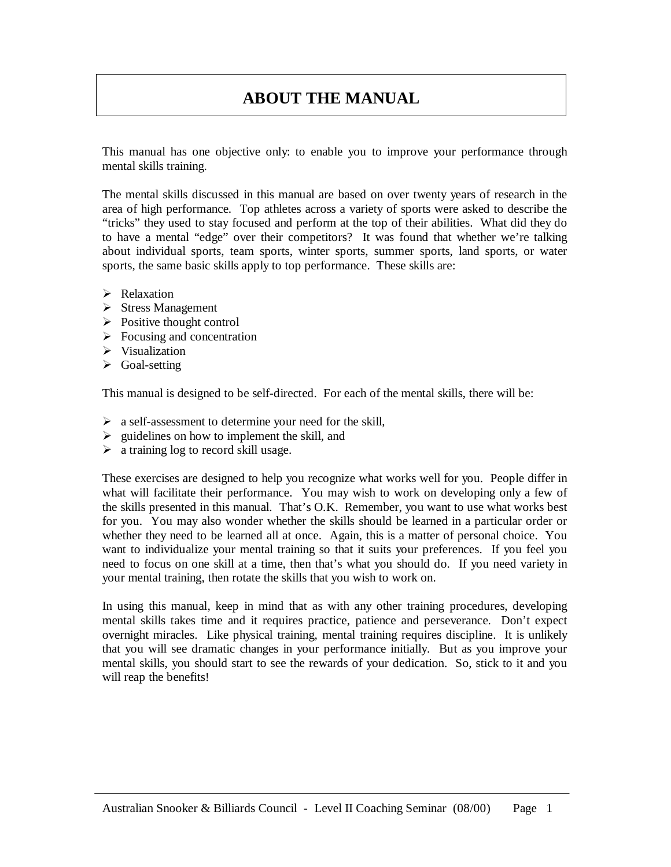# **ABOUT THE MANUAL**

This manual has one objective only: to enable you to improve your performance through mental skills training.

The mental skills discussed in this manual are based on over twenty years of research in the area of high performance. Top athletes across a variety of sports were asked to describe the "tricks" they used to stay focused and perform at the top of their abilities. What did they do to have a mental "edge" over their competitors? It was found that whether we're talking about individual sports, team sports, winter sports, summer sports, land sports, or water sports, the same basic skills apply to top performance. These skills are:

- > Relaxation
- $\triangleright$  Stress Management
- $\triangleright$  Positive thought control
- $\triangleright$  Focusing and concentration
- $\triangleright$  Visualization
- $\triangleright$  Goal-setting

This manual is designed to be self-directed. For each of the mental skills, there will be:

- $\triangleright$  a self-assessment to determine your need for the skill,
- $\triangleright$  guidelines on how to implement the skill, and
- $\triangleright$  a training log to record skill usage.

These exercises are designed to help you recognize what works well for you. People differ in what will facilitate their performance. You may wish to work on developing only a few of the skills presented in this manual. That's O.K. Remember, you want to use what works best for you. You may also wonder whether the skills should be learned in a particular order or whether they need to be learned all at once. Again, this is a matter of personal choice. You want to individualize your mental training so that it suits your preferences. If you feel you need to focus on one skill at a time, then that's what you should do. If you need variety in your mental training, then rotate the skills that you wish to work on.

In using this manual, keep in mind that as with any other training procedures, developing mental skills takes time and it requires practice, patience and perseverance. Don't expect overnight miracles. Like physical training, mental training requires discipline. It is unlikely that you will see dramatic changes in your performance initially. But as you improve your mental skills, you should start to see the rewards of your dedication. So, stick to it and you will reap the benefits!

 $\overline{a}$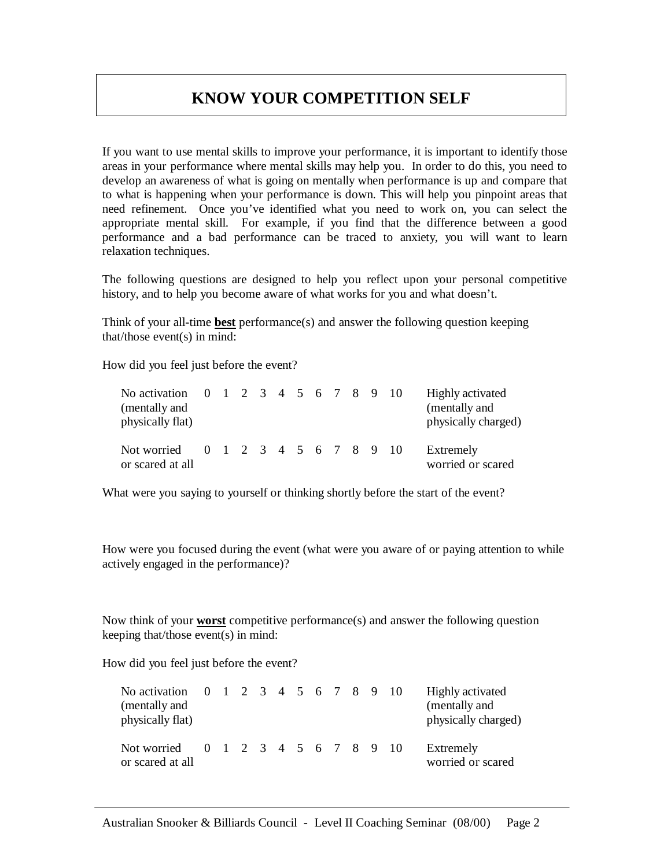## **KNOW YOUR COMPETITION SELF**

If you want to use mental skills to improve your performance, it is important to identify those areas in your performance where mental skills may help you. In order to do this, you need to develop an awareness of what is going on mentally when performance is up and compare that to what is happening when your performance is down. This will help you pinpoint areas that need refinement. Once you've identified what you need to work on, you can select the appropriate mental skill. For example, if you find that the difference between a good performance and a bad performance can be traced to anxiety, you will want to learn relaxation techniques.

The following questions are designed to help you reflect upon your personal competitive history, and to help you become aware of what works for you and what doesn't.

Think of your all-time **best** performance(s) and answer the following question keeping that/those event(s) in mind:

How did you feel just before the event?

| No activation 0 1 2 3 4 5 6 7 8 9 10<br>(mentally and<br>physically flat) |  |  |  |  |  |                        | <b>Highly activated</b><br>(mentally and<br>physically charged) |
|---------------------------------------------------------------------------|--|--|--|--|--|------------------------|-----------------------------------------------------------------|
| Not worried<br>or scared at all                                           |  |  |  |  |  | 0 1 2 3 4 5 6 7 8 9 10 | Extremely<br>worried or scared                                  |

What were you saying to yourself or thinking shortly before the start of the event?

How were you focused during the event (what were you aware of or paying attention to while actively engaged in the performance)?

Now think of your **worst** competitive performance(s) and answer the following question keeping that/those event(s) in mind:

How did you feel just before the event?

| No activation 0 1 2 3 4 5 6 7 8 9 10<br>(mentally and<br>physically flat) |  |  |  |  |  |                        | Highly activated<br>(mentally and<br>physically charged) |
|---------------------------------------------------------------------------|--|--|--|--|--|------------------------|----------------------------------------------------------|
| Not worried<br>or scared at all                                           |  |  |  |  |  | 0 1 2 3 4 5 6 7 8 9 10 | Extremely<br>worried or scared                           |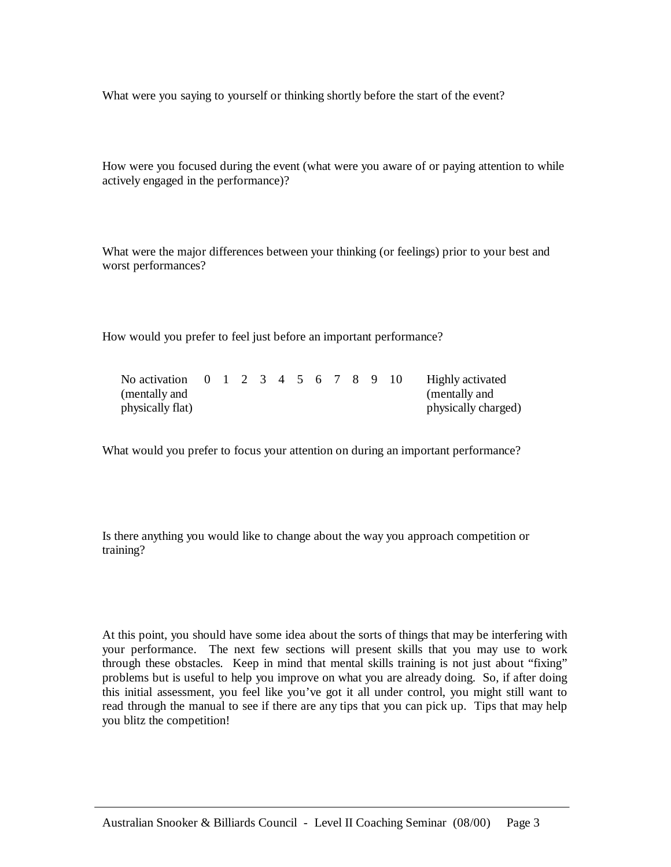What were you saying to yourself or thinking shortly before the start of the event?

How were you focused during the event (what were you aware of or paying attention to while actively engaged in the performance)?

What were the major differences between your thinking (or feelings) prior to your best and worst performances?

How would you prefer to feel just before an important performance?

| No activation 0 1 2 3 4 5 6 7 8 9 10 |  |  |  |  |  | Highly activated    |
|--------------------------------------|--|--|--|--|--|---------------------|
| (mentally and                        |  |  |  |  |  | (mentally and       |
| physically flat)                     |  |  |  |  |  | physically charged) |

What would you prefer to focus your attention on during an important performance?

Is there anything you would like to change about the way you approach competition or training?

At this point, you should have some idea about the sorts of things that may be interfering with your performance. The next few sections will present skills that you may use to work through these obstacles. Keep in mind that mental skills training is not just about "fixing" problems but is useful to help you improve on what you are already doing. So, if after doing this initial assessment, you feel like you've got it all under control, you might still want to read through the manual to see if there are any tips that you can pick up. Tips that may help you blitz the competition!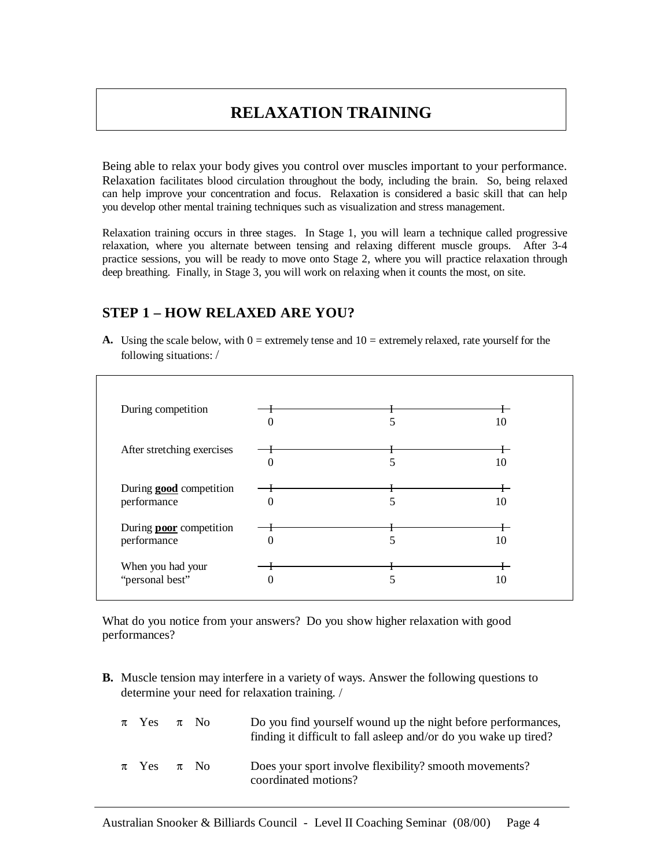# **RELAXATION TRAINING**

Being able to relax your body gives you control over muscles important to your performance. Relaxation facilitates blood circulation throughout the body, including the brain. So, being relaxed can help improve your concentration and focus. Relaxation is considered a basic skill that can help you develop other mental training techniques such as visualization and stress management.

Relaxation training occurs in three stages. In Stage 1, you will learn a technique called progressive relaxation, where you alternate between tensing and relaxing different muscle groups. After 3-4 practice sessions, you will be ready to move onto Stage 2, where you will practice relaxation through deep breathing. Finally, in Stage 3, you will work on relaxing when it counts the most, on site.

## **STEP 1 – HOW RELAXED ARE YOU?**

**A.** Using the scale below, with  $0 =$  extremely tense and  $10 =$  extremely relaxed, rate yourself for the following situations: /



What do you notice from your answers? Do you show higher relaxation with good performances?

**B.** Muscle tension may interfere in a variety of ways. Answer the following questions to determine your need for relaxation training. /

| $\pi$ Yes $\pi$ No |  | Do you find yourself wound up the night before performances,<br>finding it difficult to fall as leep and/or do you wake up tired? |
|--------------------|--|-----------------------------------------------------------------------------------------------------------------------------------|
| $\pi$ Yes $\pi$ No |  | Does your sport involve flexibility? smooth movements?<br>coordinated motions?                                                    |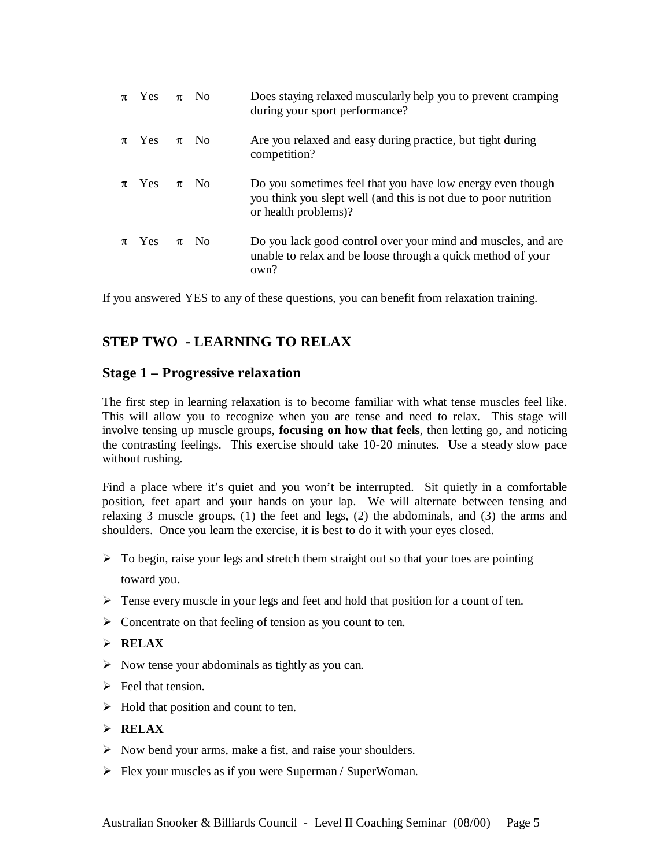| $\pi$ Yes $\pi$ No |          | Does staying relaxed muscularly help you to prevent cramping<br>during your sport performance?                                                        |
|--------------------|----------|-------------------------------------------------------------------------------------------------------------------------------------------------------|
| $\pi$ Yes $\pi$ No |          | Are you relaxed and easy during practice, but tight during<br>competition?                                                                            |
| $\pi$ Yes $\pi$ No |          | Do you sometimes feel that you have low energy even though<br>you think you slept well (and this is not due to poor nutrition<br>or health problems)? |
| $\pi$ Yes          | $\pi$ No | Do you lack good control over your mind and muscles, and are<br>unable to relax and be loose through a quick method of your<br>own?                   |

If you answered YES to any of these questions, you can benefit from relaxation training.

## **STEP TWO - LEARNING TO RELAX**

### **Stage 1 – Progressive relaxation**

The first step in learning relaxation is to become familiar with what tense muscles feel like. This will allow you to recognize when you are tense and need to relax. This stage will involve tensing up muscle groups, **focusing on how that feels**, then letting go, and noticing the contrasting feelings. This exercise should take 10-20 minutes. Use a steady slow pace without rushing.

Find a place where it's quiet and you won't be interrupted. Sit quietly in a comfortable position, feet apart and your hands on your lap. We will alternate between tensing and relaxing 3 muscle groups, (1) the feet and legs, (2) the abdominals, and (3) the arms and shoulders. Once you learn the exercise, it is best to do it with your eyes closed.

- $\triangleright$  To begin, raise your legs and stretch them straight out so that your toes are pointing toward you.
- $\triangleright$  Tense every muscle in your legs and feet and hold that position for a count of ten.
- $\triangleright$  Concentrate on that feeling of tension as you count to ten.

#### **RELAX**

- $\triangleright$  Now tense your abdominals as tightly as you can.
- $\triangleright$  Feel that tension.
- $\triangleright$  Hold that position and count to ten.
- **RELAX**
- $\triangleright$  Now bend your arms, make a fist, and raise your shoulders.
- $\triangleright$  Flex your muscles as if you were Superman / SuperWoman.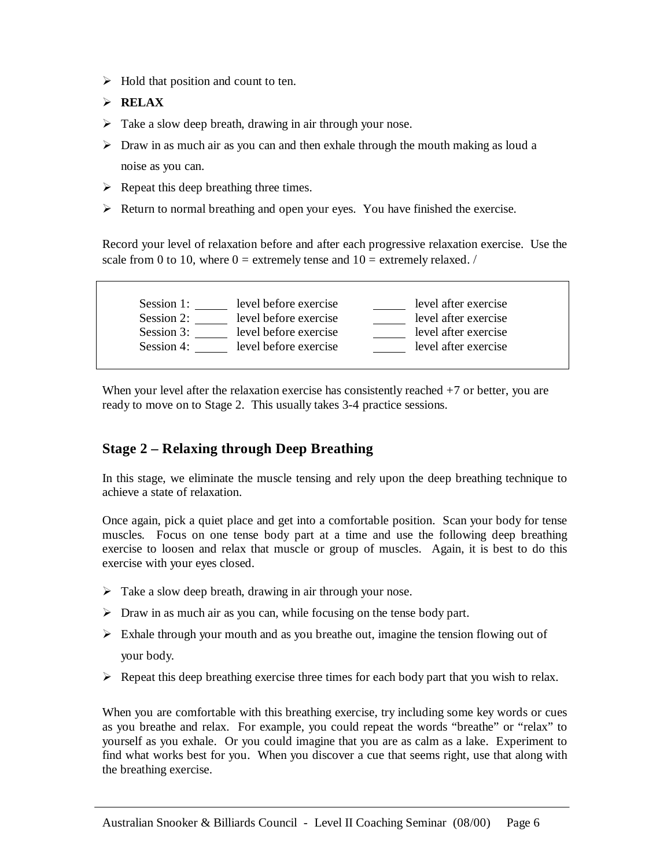- $\triangleright$  Hold that position and count to ten.
- **RELAX**
- $\triangleright$  Take a slow deep breath, drawing in air through your nose.
- $\triangleright$  Draw in as much air as you can and then exhale through the mouth making as loud a noise as you can.
- $\triangleright$  Repeat this deep breathing three times.
- $\triangleright$  Return to normal breathing and open your eyes. You have finished the exercise.

Record your level of relaxation before and after each progressive relaxation exercise. Use the scale from 0 to 10, where  $0 =$  extremely tense and  $10 =$  extremely relaxed. /

| Session 1: | level before exercise | level after exercise |
|------------|-----------------------|----------------------|
| Session 2: | level before exercise | level after exercise |
| Session 3: | level before exercise | level after exercise |
| Session 4: | level before exercise | level after exercise |

When your level after the relaxation exercise has consistently reached +7 or better, you are ready to move on to Stage 2. This usually takes 3-4 practice sessions.

#### **Stage 2 – Relaxing through Deep Breathing**

In this stage, we eliminate the muscle tensing and rely upon the deep breathing technique to achieve a state of relaxation.

Once again, pick a quiet place and get into a comfortable position. Scan your body for tense muscles. Focus on one tense body part at a time and use the following deep breathing exercise to loosen and relax that muscle or group of muscles. Again, it is best to do this exercise with your eyes closed.

- $\triangleright$  Take a slow deep breath, drawing in air through your nose.
- $\triangleright$  Draw in as much air as you can, while focusing on the tense body part.
- $\triangleright$  Exhale through your mouth and as you breathe out, imagine the tension flowing out of your body.
- $\triangleright$  Repeat this deep breathing exercise three times for each body part that you wish to relax.

When you are comfortable with this breathing exercise, try including some key words or cues as you breathe and relax. For example, you could repeat the words "breathe" or "relax" to yourself as you exhale. Or you could imagine that you are as calm as a lake. Experiment to find what works best for you. When you discover a cue that seems right, use that along with the breathing exercise.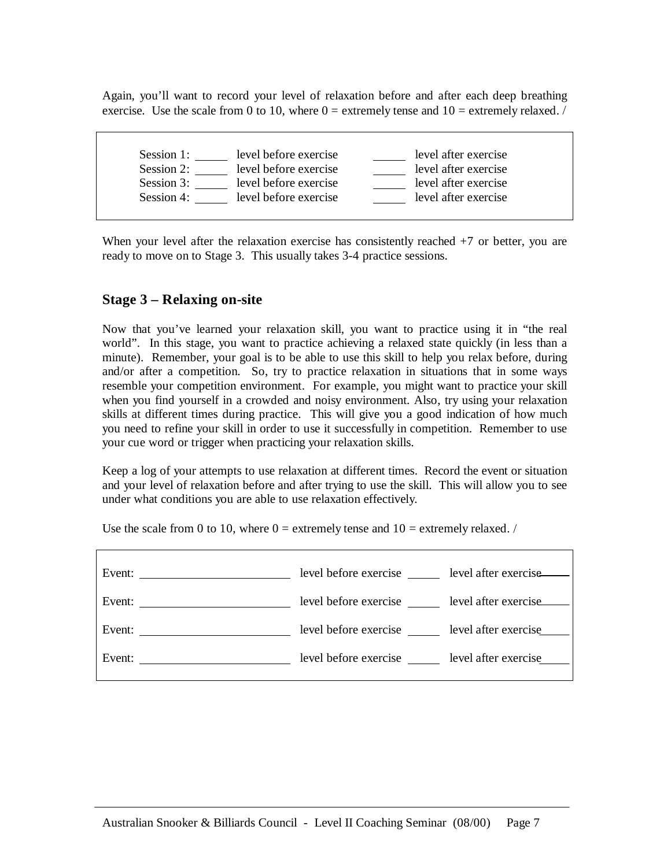Again, you'll want to record your level of relaxation before and after each deep breathing exercise. Use the scale from 0 to 10, where  $0 =$  extremely tense and  $10 =$  extremely relaxed. /

| Session 1: | level before exercise | level after exercise |
|------------|-----------------------|----------------------|
| Session 2: | level before exercise | level after exercise |
| Session 3: | level before exercise | level after exercise |
| Session 4: | level before exercise | level after exercise |

When your level after the relaxation exercise has consistently reached  $+7$  or better, you are ready to move on to Stage 3. This usually takes 3-4 practice sessions.

### **Stage 3 – Relaxing on-site**

Now that you've learned your relaxation skill, you want to practice using it in "the real world". In this stage, you want to practice achieving a relaxed state quickly (in less than a minute). Remember, your goal is to be able to use this skill to help you relax before, during and/or after a competition. So, try to practice relaxation in situations that in some ways resemble your competition environment. For example, you might want to practice your skill when you find yourself in a crowded and noisy environment. Also, try using your relaxation skills at different times during practice. This will give you a good indication of how much you need to refine your skill in order to use it successfully in competition. Remember to use your cue word or trigger when practicing your relaxation skills.

Keep a log of your attempts to use relaxation at different times. Record the event or situation and your level of relaxation before and after trying to use the skill. This will allow you to see under what conditions you are able to use relaxation effectively.

Use the scale from 0 to 10, where  $0 =$  extremely tense and  $10 =$  extremely relaxed. /

|                                                                                                                                                                                                                                                                                                                                                                                                                                                   | level before exercise _______ level after exercise |  |
|---------------------------------------------------------------------------------------------------------------------------------------------------------------------------------------------------------------------------------------------------------------------------------------------------------------------------------------------------------------------------------------------------------------------------------------------------|----------------------------------------------------|--|
| Event: $\frac{1}{\sqrt{1-\frac{1}{2}} \cdot \frac{1}{2} \cdot \frac{1}{2} \cdot \frac{1}{2} \cdot \frac{1}{2} \cdot \frac{1}{2} \cdot \frac{1}{2} \cdot \frac{1}{2} \cdot \frac{1}{2} \cdot \frac{1}{2} \cdot \frac{1}{2} \cdot \frac{1}{2} \cdot \frac{1}{2} \cdot \frac{1}{2} \cdot \frac{1}{2} \cdot \frac{1}{2} \cdot \frac{1}{2} \cdot \frac{1}{2} \cdot \frac{1}{2} \cdot \frac{1}{2} \cdot \frac{1}{2} \cdot \frac{1}{2} \cdot \frac{1}{2$ | level before exercise level after exercise         |  |
| Event: $\frac{1}{\sqrt{1-\frac{1}{2}} \cdot \frac{1}{2} \cdot \frac{1}{2} \cdot \frac{1}{2} \cdot \frac{1}{2} \cdot \frac{1}{2} \cdot \frac{1}{2} \cdot \frac{1}{2} \cdot \frac{1}{2} \cdot \frac{1}{2} \cdot \frac{1}{2} \cdot \frac{1}{2} \cdot \frac{1}{2} \cdot \frac{1}{2} \cdot \frac{1}{2} \cdot \frac{1}{2} \cdot \frac{1}{2} \cdot \frac{1}{2} \cdot \frac{1}{2} \cdot \frac{1}{2} \cdot \frac{1}{2} \cdot \frac{1}{2} \cdot \frac{1}{2$ | level before exercise level after exercise         |  |
| Event: $\qquad \qquad$                                                                                                                                                                                                                                                                                                                                                                                                                            | level before exercise level after exercise         |  |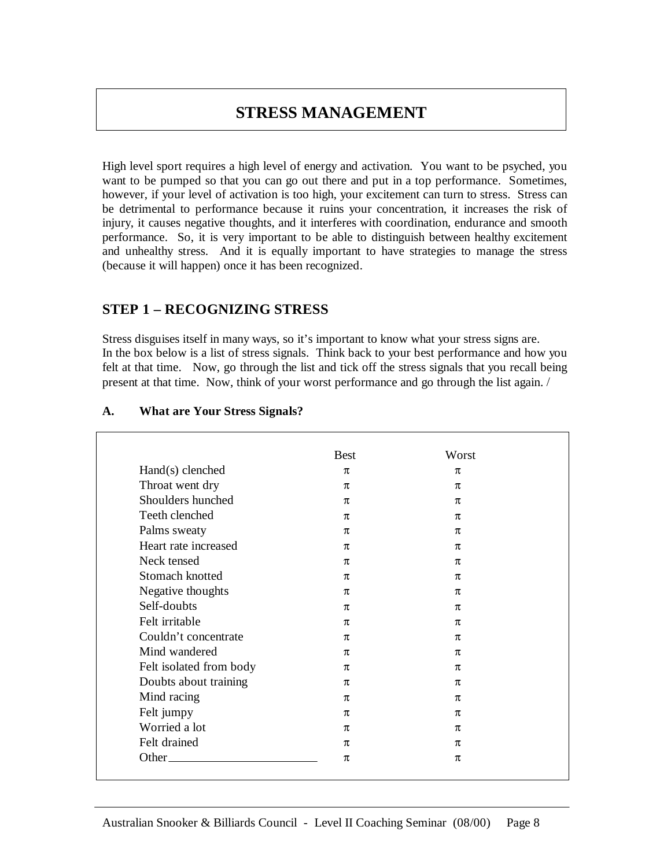## **STRESS MANAGEMENT**

High level sport requires a high level of energy and activation. You want to be psyched, you want to be pumped so that you can go out there and put in a top performance. Sometimes, however, if your level of activation is too high, your excitement can turn to stress. Stress can be detrimental to performance because it ruins your concentration, it increases the risk of injury, it causes negative thoughts, and it interferes with coordination, endurance and smooth performance. So, it is very important to be able to distinguish between healthy excitement and unhealthy stress. And it is equally important to have strategies to manage the stress (because it will happen) once it has been recognized.

## **STEP 1 – RECOGNIZING STRESS**

Stress disguises itself in many ways, so it's important to know what your stress signs are. In the box below is a list of stress signals. Think back to your best performance and how you felt at that time. Now, go through the list and tick off the stress signals that you recall being present at that time. Now, think of your worst performance and go through the list again. /

|                         | <b>Best</b> | Worst |
|-------------------------|-------------|-------|
| $Hand(s)$ clenched      | π           | π     |
| Throat went dry         | π           | π     |
| Shoulders hunched       | π           | π     |
| Teeth clenched          | π           | π     |
| Palms sweaty            | π           | π     |
| Heart rate increased    | π           | π     |
| Neck tensed             | π           | π     |
| Stomach knotted         | π           | π     |
| Negative thoughts       | π           | π     |
| Self-doubts             | π           | π     |
| Felt irritable          | π           | π     |
| Couldn't concentrate    | π           | π     |
| Mind wandered           | π           | π     |
| Felt isolated from body | π           | π     |
| Doubts about training   | π           | π     |
| Mind racing             | π           | π     |
| Felt jumpy              | π           | π     |
| Worried a lot           | π           | π     |
| Felt drained            | π           | π     |
|                         | π           | π     |

#### **A. What are Your Stress Signals?**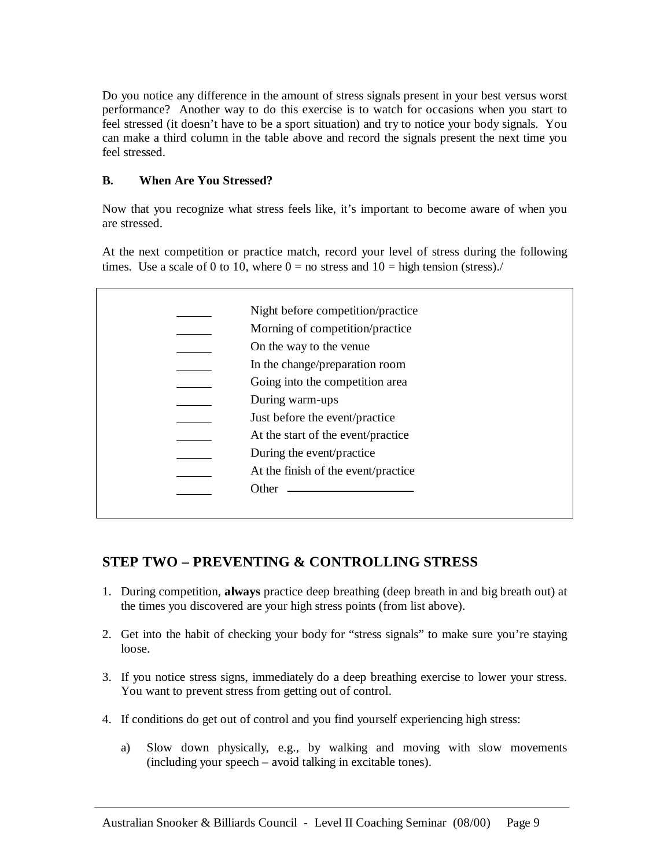Do you notice any difference in the amount of stress signals present in your best versus worst performance? Another way to do this exercise is to watch for occasions when you start to feel stressed (it doesn't have to be a sport situation) and try to notice your body signals. You can make a third column in the table above and record the signals present the next time you feel stressed.

#### **B. When Are You Stressed?**

Now that you recognize what stress feels like, it's important to become aware of when you are stressed.

At the next competition or practice match, record your level of stress during the following times. Use a scale of 0 to 10, where  $0 =$  no stress and  $10 =$  high tension (stress).

| Night before competition/practice   |
|-------------------------------------|
| Morning of competition/practice     |
| On the way to the venue             |
| In the change/preparation room      |
| Going into the competition area     |
| During warm-ups                     |
| Just before the event/practice      |
| At the start of the event/practice  |
| During the event/practice           |
| At the finish of the event/practice |
| Other                               |
|                                     |

## **STEP TWO – PREVENTING & CONTROLLING STRESS**

- 1. During competition, **always** practice deep breathing (deep breath in and big breath out) at the times you discovered are your high stress points (from list above).
- 2. Get into the habit of checking your body for "stress signals" to make sure you're staying loose.
- 3. If you notice stress signs, immediately do a deep breathing exercise to lower your stress. You want to prevent stress from getting out of control.
- 4. If conditions do get out of control and you find yourself experiencing high stress:
	- a) Slow down physically, e.g., by walking and moving with slow movements (including your speech – avoid talking in excitable tones).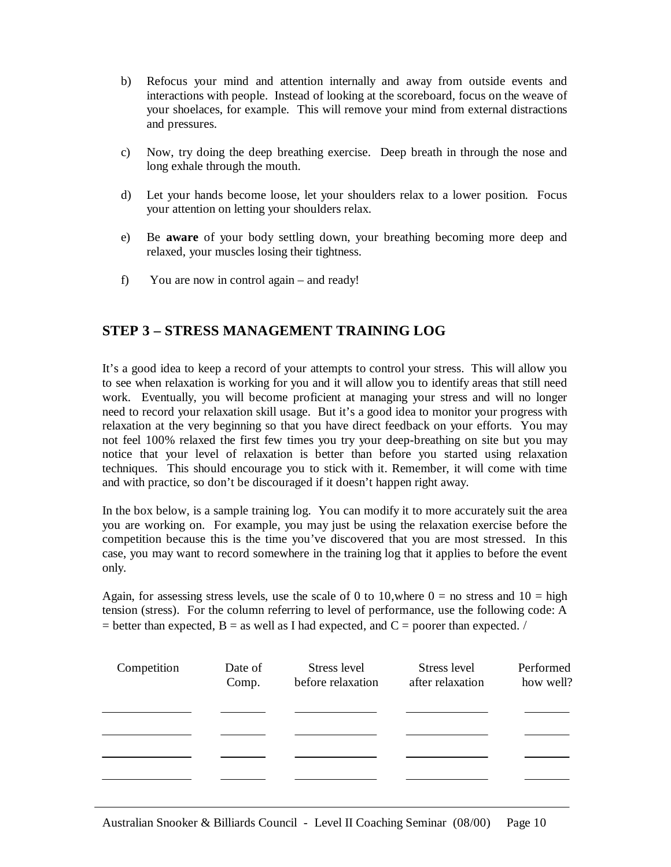- b) Refocus your mind and attention internally and away from outside events and interactions with people. Instead of looking at the scoreboard, focus on the weave of your shoelaces, for example. This will remove your mind from external distractions and pressures.
- c) Now, try doing the deep breathing exercise. Deep breath in through the nose and long exhale through the mouth.
- d) Let your hands become loose, let your shoulders relax to a lower position. Focus your attention on letting your shoulders relax.
- e) Be **aware** of your body settling down, your breathing becoming more deep and relaxed, your muscles losing their tightness.
- f) You are now in control again and ready!

## **STEP 3 – STRESS MANAGEMENT TRAINING LOG**

It's a good idea to keep a record of your attempts to control your stress. This will allow you to see when relaxation is working for you and it will allow you to identify areas that still need work. Eventually, you will become proficient at managing your stress and will no longer need to record your relaxation skill usage. But it's a good idea to monitor your progress with relaxation at the very beginning so that you have direct feedback on your efforts. You may not feel 100% relaxed the first few times you try your deep-breathing on site but you may notice that your level of relaxation is better than before you started using relaxation techniques. This should encourage you to stick with it. Remember, it will come with time and with practice, so don't be discouraged if it doesn't happen right away.

In the box below, is a sample training log. You can modify it to more accurately suit the area you are working on. For example, you may just be using the relaxation exercise before the competition because this is the time you've discovered that you are most stressed. In this case, you may want to record somewhere in the training log that it applies to before the event only.

Again, for assessing stress levels, use the scale of 0 to 10, where  $0 =$  no stress and  $10 =$  high tension (stress). For the column referring to level of performance, use the following code: A  $=$  better than expected,  $B =$  as well as I had expected, and  $C =$  poorer than expected. /

| Competition | Date of<br>Comp. | Stress level<br>before relaxation | Stress level<br>after relaxation | Performed<br>how well? |
|-------------|------------------|-----------------------------------|----------------------------------|------------------------|
|             |                  |                                   |                                  |                        |
|             |                  |                                   |                                  |                        |
|             |                  |                                   |                                  |                        |
|             |                  |                                   |                                  |                        |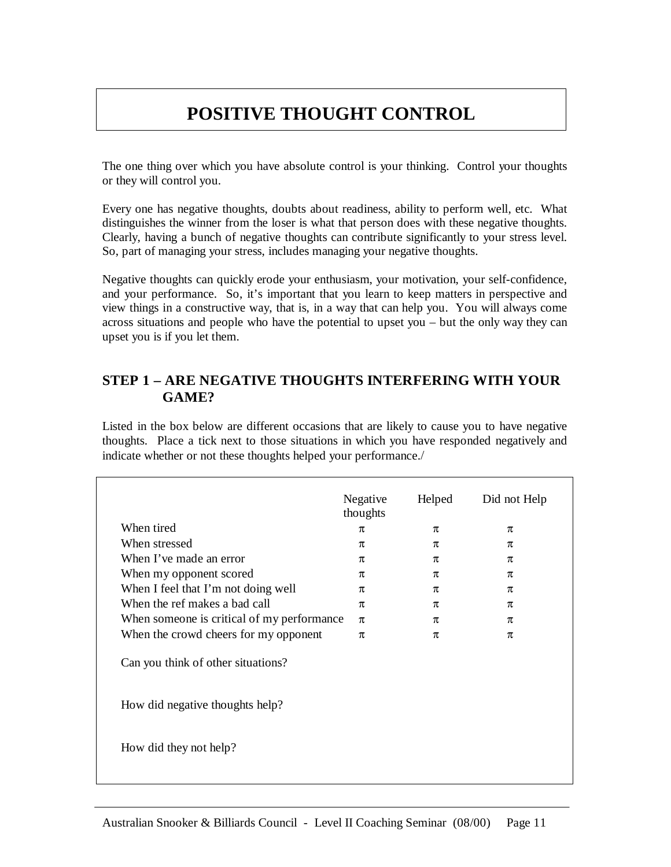# **POSITIVE THOUGHT CONTROL**

The one thing over which you have absolute control is your thinking. Control your thoughts or they will control you.

Every one has negative thoughts, doubts about readiness, ability to perform well, etc. What distinguishes the winner from the loser is what that person does with these negative thoughts. Clearly, having a bunch of negative thoughts can contribute significantly to your stress level. So, part of managing your stress, includes managing your negative thoughts.

Negative thoughts can quickly erode your enthusiasm, your motivation, your self-confidence, and your performance. So, it's important that you learn to keep matters in perspective and view things in a constructive way, that is, in a way that can help you. You will always come across situations and people who have the potential to upset you – but the only way they can upset you is if you let them.

## **STEP 1 – ARE NEGATIVE THOUGHTS INTERFERING WITH YOUR GAME?**

Listed in the box below are different occasions that are likely to cause you to have negative thoughts. Place a tick next to those situations in which you have responded negatively and indicate whether or not these thoughts helped your performance./

|                                            | Negative<br>thoughts | Helped | Did not Help |
|--------------------------------------------|----------------------|--------|--------------|
| When tired                                 | π                    | π      | π            |
| When stressed                              | π                    | π      | π            |
| When I've made an error                    | π                    | π      | π            |
| When my opponent scored                    | π                    | π      | π            |
| When I feel that I'm not doing well        | π                    | π      | π            |
| When the ref makes a bad call              | π                    | π      | π            |
| When someone is critical of my performance | $\pi$                | π      | π            |
| When the crowd cheers for my opponent      | $\pi$                | π      | π            |
| Can you think of other situations?         |                      |        |              |
| How did negative thoughts help?            |                      |        |              |
| How did they not help?                     |                      |        |              |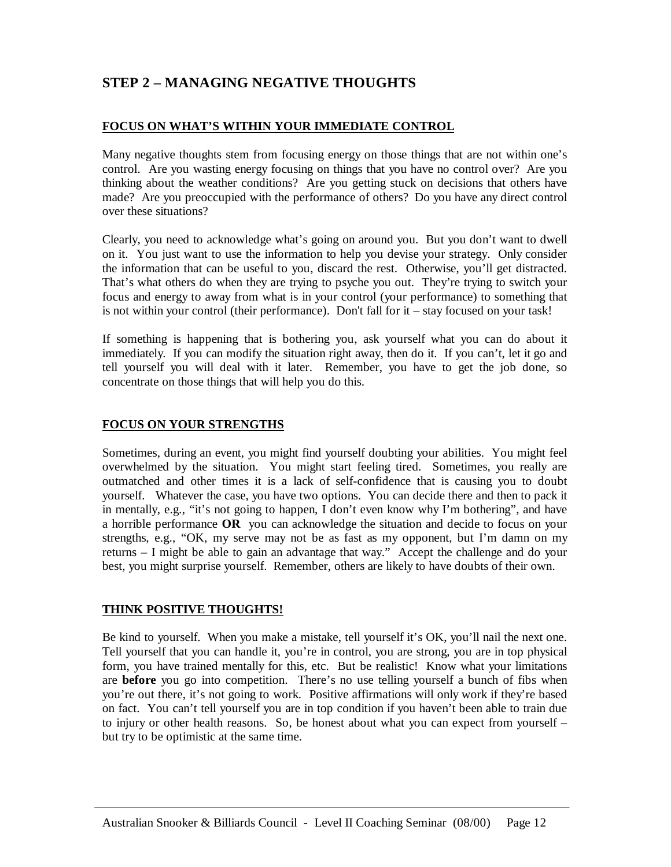## **STEP 2 – MANAGING NEGATIVE THOUGHTS**

#### **FOCUS ON WHAT'S WITHIN YOUR IMMEDIATE CONTROL**

Many negative thoughts stem from focusing energy on those things that are not within one's control. Are you wasting energy focusing on things that you have no control over? Are you thinking about the weather conditions? Are you getting stuck on decisions that others have made? Are you preoccupied with the performance of others? Do you have any direct control over these situations?

Clearly, you need to acknowledge what's going on around you. But you don't want to dwell on it. You just want to use the information to help you devise your strategy. Only consider the information that can be useful to you, discard the rest. Otherwise, you'll get distracted. That's what others do when they are trying to psyche you out. They're trying to switch your focus and energy to away from what is in your control (your performance) to something that is not within your control (their performance). Don't fall for it – stay focused on your task!

If something is happening that is bothering you, ask yourself what you can do about it immediately. If you can modify the situation right away, then do it. If you can't, let it go and tell yourself you will deal with it later. Remember, you have to get the job done, so concentrate on those things that will help you do this.

#### **FOCUS ON YOUR STRENGTHS**

Sometimes, during an event, you might find yourself doubting your abilities. You might feel overwhelmed by the situation. You might start feeling tired. Sometimes, you really are outmatched and other times it is a lack of self-confidence that is causing you to doubt yourself. Whatever the case, you have two options. You can decide there and then to pack it in mentally, e.g., "it's not going to happen, I don't even know why I'm bothering", and have a horrible performance **OR** you can acknowledge the situation and decide to focus on your strengths, e.g., "OK, my serve may not be as fast as my opponent, but I'm damn on my returns – I might be able to gain an advantage that way." Accept the challenge and do your best, you might surprise yourself. Remember, others are likely to have doubts of their own.

#### **THINK POSITIVE THOUGHTS!**

Be kind to yourself. When you make a mistake, tell yourself it's OK, you'll nail the next one. Tell yourself that you can handle it, you're in control, you are strong, you are in top physical form, you have trained mentally for this, etc. But be realistic! Know what your limitations are **before** you go into competition. There's no use telling yourself a bunch of fibs when you're out there, it's not going to work. Positive affirmations will only work if they're based on fact. You can't tell yourself you are in top condition if you haven't been able to train due to injury or other health reasons. So, be honest about what you can expect from yourself – but try to be optimistic at the same time.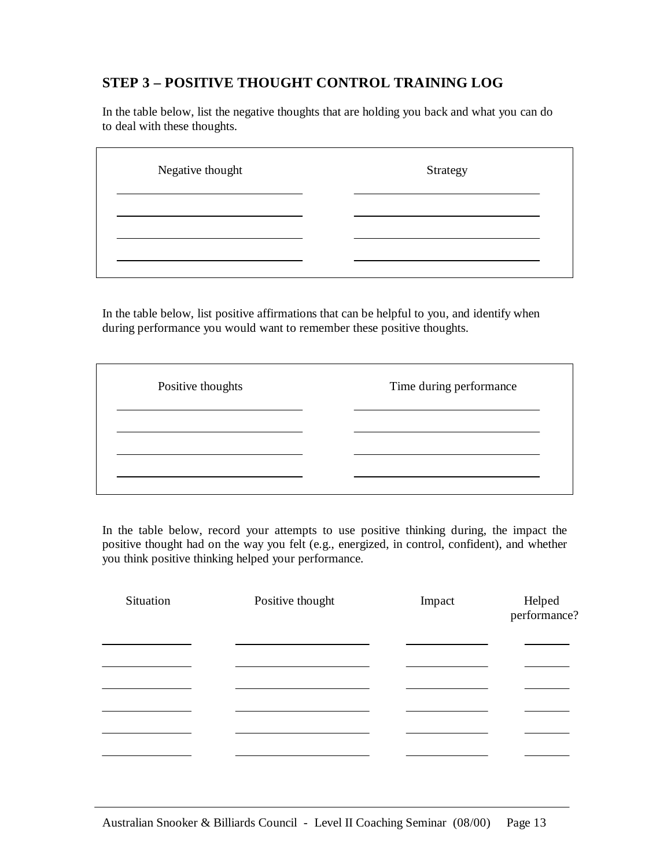## **STEP 3 – POSITIVE THOUGHT CONTROL TRAINING LOG**

In the table below, list the negative thoughts that are holding you back and what you can do to deal with these thoughts.

| Negative thought | Strategy |
|------------------|----------|
|                  |          |
|                  |          |

In the table below, list positive affirmations that can be helpful to you, and identify when during performance you would want to remember these positive thoughts.

| Positive thoughts | Time during performance |
|-------------------|-------------------------|
|                   |                         |
|                   |                         |

In the table below, record your attempts to use positive thinking during, the impact the positive thought had on the way you felt (e.g., energized, in control, confident), and whether you think positive thinking helped your performance.

| Situation | Positive thought | Impact | Helped<br>performance? |
|-----------|------------------|--------|------------------------|
|           |                  |        |                        |
|           |                  |        |                        |
|           |                  |        |                        |
|           |                  |        |                        |
|           |                  |        |                        |
|           |                  |        |                        |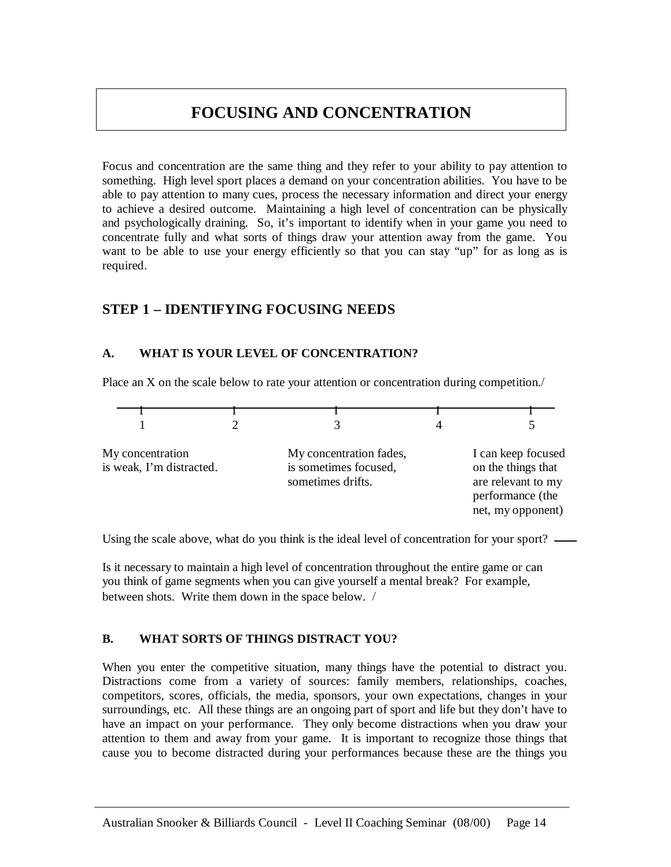## **FOCUSING AND CONCENTRATION**

Focus and concentration are the same thing and they refer to your ability to pay attention to something. High level sport places a demand on your concentration abilities. You have to be able to pay attention to many cues, process the necessary information and direct your energy to achieve a desired outcome. Maintaining a high level of concentration can be physically and psychologically draining. So, it's important to identify when in your game you need to concentrate fully and what sorts of things draw your attention away from the game. You want to be able to use your energy efficiently so that you can stay "up" for as long as is required.

## **STEP 1 – IDENTIFYING FOCUSING NEEDS**

#### **A. WHAT IS YOUR LEVEL OF CONCENTRATION?**

Place an X on the scale below to rate your attention or concentration during competition./



Using the scale above, what do you think is the ideal level of concentration for your sport? —

Is it necessary to maintain a high level of concentration throughout the entire game or can you think of game segments when you can give yourself a mental break? For example, between shots. Write them down in the space below. /

#### **B. WHAT SORTS OF THINGS DISTRACT YOU?**

When you enter the competitive situation, many things have the potential to distract you. Distractions come from a variety of sources: family members, relationships, coaches, competitors, scores, officials, the media, sponsors, your own expectations, changes in your surroundings, etc. All these things are an ongoing part of sport and life but they don't have to have an impact on your performance. They only become distractions when you draw your attention to them and away from your game. It is important to recognize those things that cause you to become distracted during your performances because these are the things you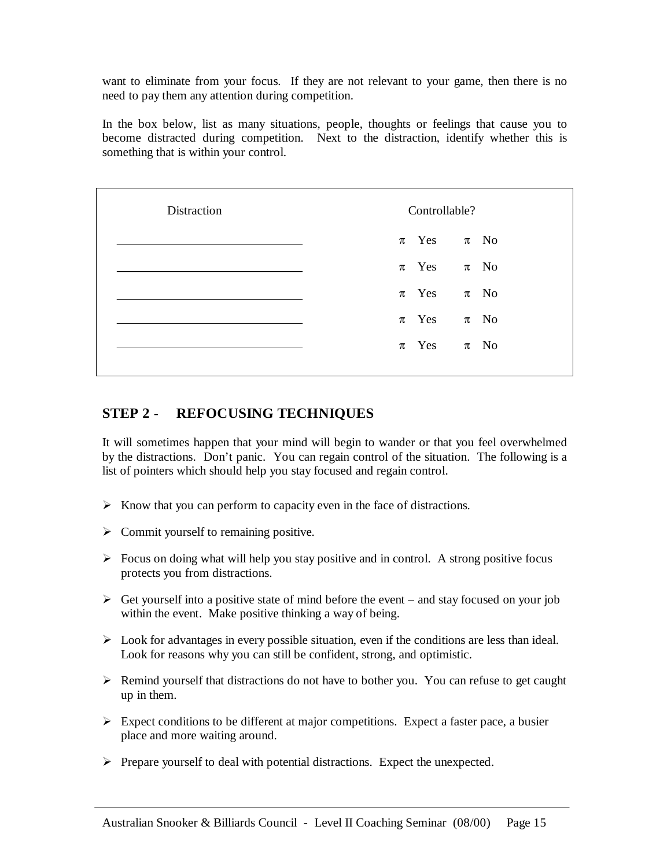want to eliminate from your focus. If they are not relevant to your game, then there is no need to pay them any attention during competition.

In the box below, list as many situations, people, thoughts or feelings that cause you to become distracted during competition. Next to the distraction, identify whether this is something that is within your control.

| Distraction | Controllable?      |
|-------------|--------------------|
|             | $\pi$ Yes $\pi$ No |
|             | $\pi$ Yes $\pi$ No |
|             | $\pi$ Yes $\pi$ No |
|             | $\pi$ Yes $\pi$ No |
|             | $\pi$ Yes $\pi$ No |
|             |                    |

## **STEP 2 - REFOCUSING TECHNIQUES**

It will sometimes happen that your mind will begin to wander or that you feel overwhelmed by the distractions. Don't panic. You can regain control of the situation. The following is a list of pointers which should help you stay focused and regain control.

- $\triangleright$  Know that you can perform to capacity even in the face of distractions.
- $\triangleright$  Commit yourself to remaining positive.
- $\triangleright$  Focus on doing what will help you stay positive and in control. A strong positive focus protects you from distractions.
- $\triangleright$  Get yourself into a positive state of mind before the event and stay focused on your job within the event. Make positive thinking a way of being.
- $\triangleright$  Look for advantages in every possible situation, even if the conditions are less than ideal. Look for reasons why you can still be confident, strong, and optimistic.
- $\triangleright$  Remind yourself that distractions do not have to bother you. You can refuse to get caught up in them.
- $\triangleright$  Expect conditions to be different at major competitions. Expect a faster pace, a busier place and more waiting around.
- Prepare yourself to deal with potential distractions. Expect the unexpected.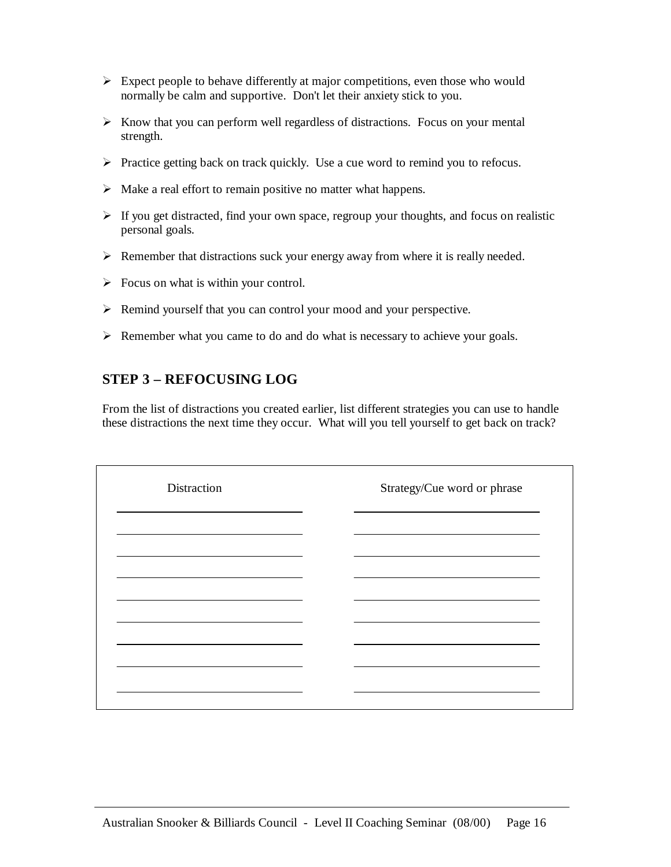- $\triangleright$  Expect people to behave differently at major competitions, even those who would normally be calm and supportive. Don't let their anxiety stick to you.
- $\triangleright$  Know that you can perform well regardless of distractions. Focus on your mental strength.
- $\triangleright$  Practice getting back on track quickly. Use a cue word to remind you to refocus.
- $\triangleright$  Make a real effort to remain positive no matter what happens.
- $\triangleright$  If you get distracted, find your own space, regroup your thoughts, and focus on realistic personal goals.
- $\triangleright$  Remember that distractions suck your energy away from where it is really needed.
- $\triangleright$  Focus on what is within your control.
- Remind yourself that you can control your mood and your perspective.
- $\triangleright$  Remember what you came to do and do what is necessary to achieve your goals.

## **STEP 3 – REFOCUSING LOG**

From the list of distractions you created earlier, list different strategies you can use to handle these distractions the next time they occur. What will you tell yourself to get back on track?

| Distraction | Strategy/Cue word or phrase |
|-------------|-----------------------------|
|             |                             |
|             |                             |
|             |                             |
|             |                             |
|             |                             |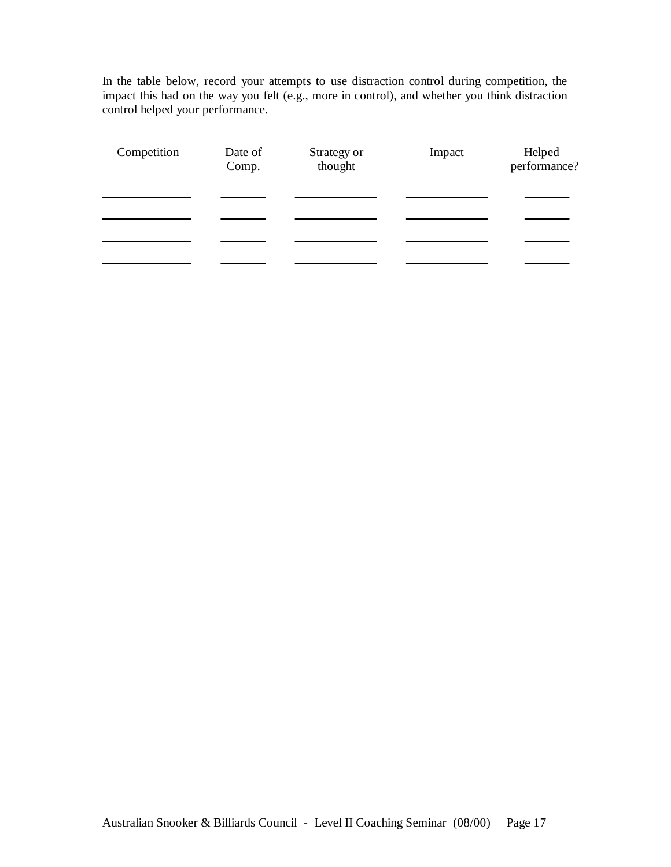In the table below, record your attempts to use distraction control during competition, the impact this had on the way you felt (e.g., more in control), and whether you think distraction control helped your performance.

| Competition | Date of<br>Comp. | Strategy or<br>thought | Impact | Helped<br>performance? |
|-------------|------------------|------------------------|--------|------------------------|
|             |                  |                        |        |                        |
|             |                  |                        |        |                        |
|             |                  |                        |        |                        |
|             |                  |                        |        |                        |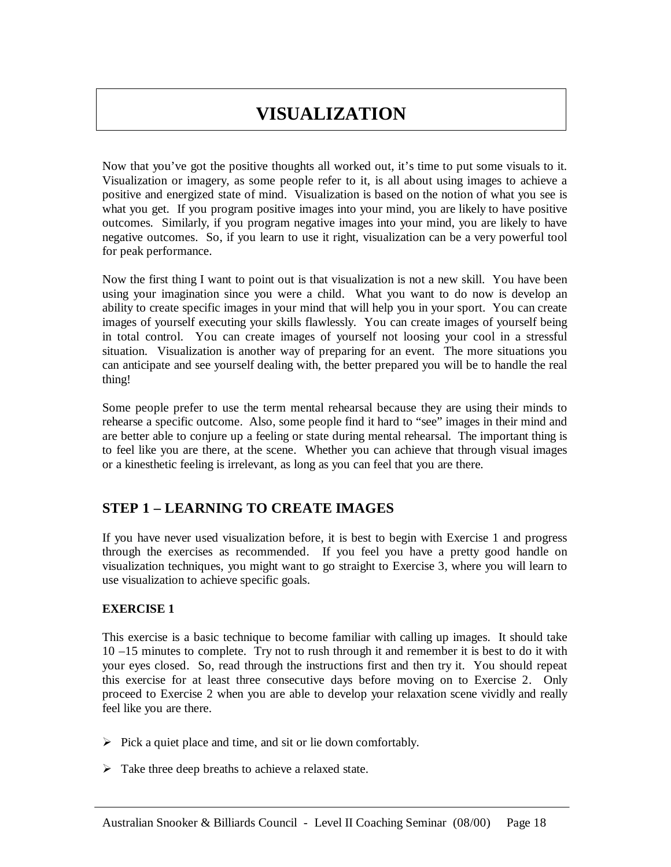# **VISUALIZATION**

Now that you've got the positive thoughts all worked out, it's time to put some visuals to it. Visualization or imagery, as some people refer to it, is all about using images to achieve a positive and energized state of mind. Visualization is based on the notion of what you see is what you get. If you program positive images into your mind, you are likely to have positive outcomes. Similarly, if you program negative images into your mind, you are likely to have negative outcomes. So, if you learn to use it right, visualization can be a very powerful tool for peak performance.

Now the first thing I want to point out is that visualization is not a new skill. You have been using your imagination since you were a child. What you want to do now is develop an ability to create specific images in your mind that will help you in your sport. You can create images of yourself executing your skills flawlessly. You can create images of yourself being in total control. You can create images of yourself not loosing your cool in a stressful situation. Visualization is another way of preparing for an event. The more situations you can anticipate and see yourself dealing with, the better prepared you will be to handle the real thing!

Some people prefer to use the term mental rehearsal because they are using their minds to rehearse a specific outcome. Also, some people find it hard to "see" images in their mind and are better able to conjure up a feeling or state during mental rehearsal. The important thing is to feel like you are there, at the scene. Whether you can achieve that through visual images or a kinesthetic feeling is irrelevant, as long as you can feel that you are there.

## **STEP 1 – LEARNING TO CREATE IMAGES**

If you have never used visualization before, it is best to begin with Exercise 1 and progress through the exercises as recommended. If you feel you have a pretty good handle on visualization techniques, you might want to go straight to Exercise 3, where you will learn to use visualization to achieve specific goals.

#### **EXERCISE 1**

This exercise is a basic technique to become familiar with calling up images. It should take 10 –15 minutes to complete. Try not to rush through it and remember it is best to do it with your eyes closed. So, read through the instructions first and then try it. You should repeat this exercise for at least three consecutive days before moving on to Exercise 2. Only proceed to Exercise 2 when you are able to develop your relaxation scene vividly and really feel like you are there.

- $\triangleright$  Pick a quiet place and time, and sit or lie down comfortably.
- $\triangleright$  Take three deep breaths to achieve a relaxed state.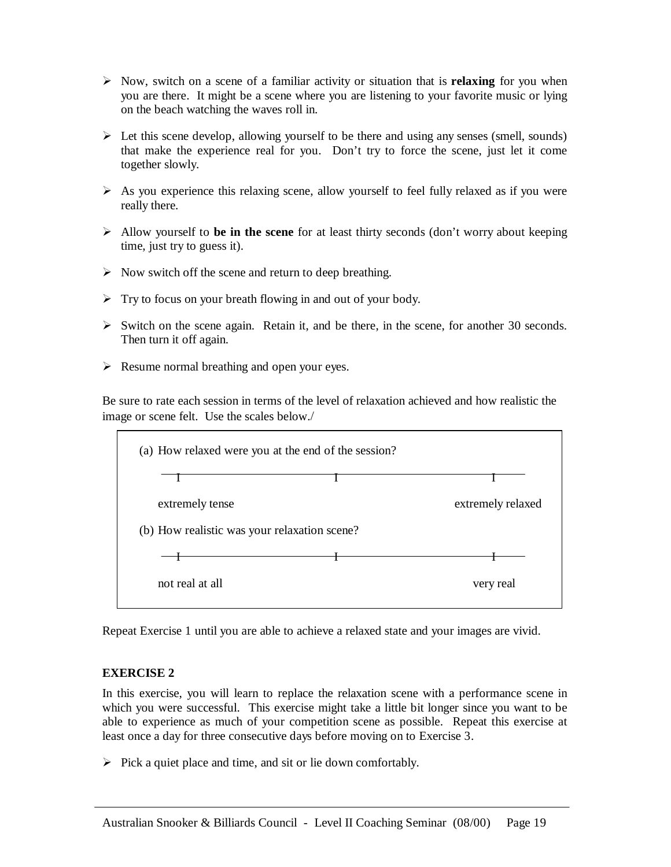- $\triangleright$  Now, switch on a scene of a familiar activity or situation that is **relaxing** for you when you are there. It might be a scene where you are listening to your favorite music or lying on the beach watching the waves roll in.
- $\triangleright$  Let this scene develop, allowing yourself to be there and using any senses (smell, sounds) that make the experience real for you. Don't try to force the scene, just let it come together slowly.
- $\triangleright$  As you experience this relaxing scene, allow yourself to feel fully relaxed as if you were really there.
- Allow yourself to **be in the scene** for at least thirty seconds (don't worry about keeping time, just try to guess it).
- $\triangleright$  Now switch off the scene and return to deep breathing.
- $\triangleright$  Try to focus on your breath flowing in and out of your body.
- $\triangleright$  Switch on the scene again. Retain it, and be there, in the scene, for another 30 seconds. Then turn it off again.
- $\triangleright$  Resume normal breathing and open your eyes.

Be sure to rate each session in terms of the level of relaxation achieved and how realistic the image or scene felt. Use the scales below./



Repeat Exercise 1 until you are able to achieve a relaxed state and your images are vivid.

#### **EXERCISE 2**

In this exercise, you will learn to replace the relaxation scene with a performance scene in which you were successful. This exercise might take a little bit longer since you want to be able to experience as much of your competition scene as possible. Repeat this exercise at least once a day for three consecutive days before moving on to Exercise 3.

 $\triangleright$  Pick a quiet place and time, and sit or lie down comfortably.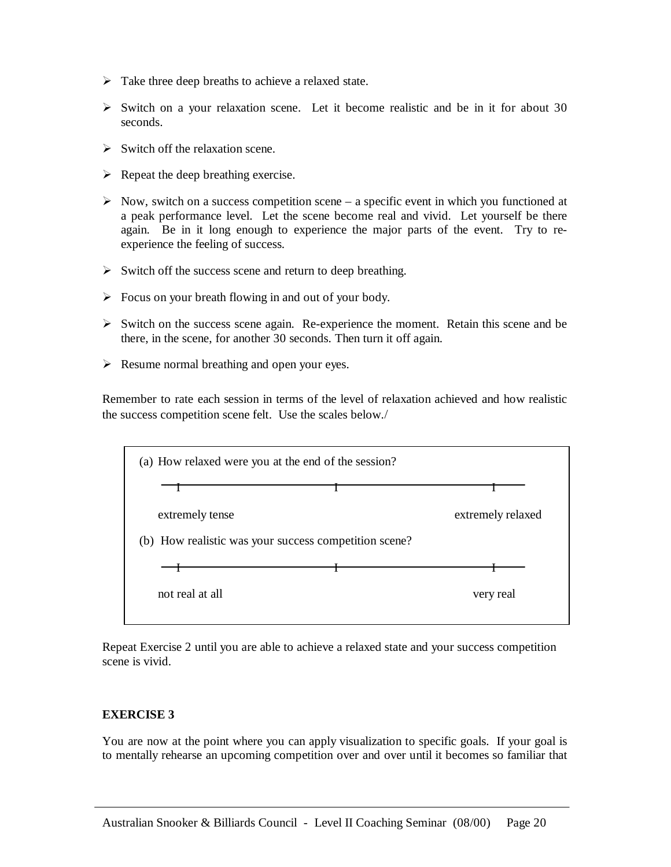- $\triangleright$  Take three deep breaths to achieve a relaxed state.
- $\triangleright$  Switch on a your relaxation scene. Let it become realistic and be in it for about 30 seconds.
- $\triangleright$  Switch off the relaxation scene.
- $\triangleright$  Repeat the deep breathing exercise.
- $\triangleright$  Now, switch on a success competition scene a specific event in which you functioned at a peak performance level. Let the scene become real and vivid. Let yourself be there again. Be in it long enough to experience the major parts of the event. Try to reexperience the feeling of success.
- $\triangleright$  Switch off the success scene and return to deep breathing.
- $\triangleright$  Focus on your breath flowing in and out of your body.
- $\triangleright$  Switch on the success scene again. Re-experience the moment. Retain this scene and be there, in the scene, for another 30 seconds. Then turn it off again.
- $\triangleright$  Resume normal breathing and open your eyes.

Remember to rate each session in terms of the level of relaxation achieved and how realistic the success competition scene felt. Use the scales below./



Repeat Exercise 2 until you are able to achieve a relaxed state and your success competition scene is vivid.

#### **EXERCISE 3**

You are now at the point where you can apply visualization to specific goals. If your goal is to mentally rehearse an upcoming competition over and over until it becomes so familiar that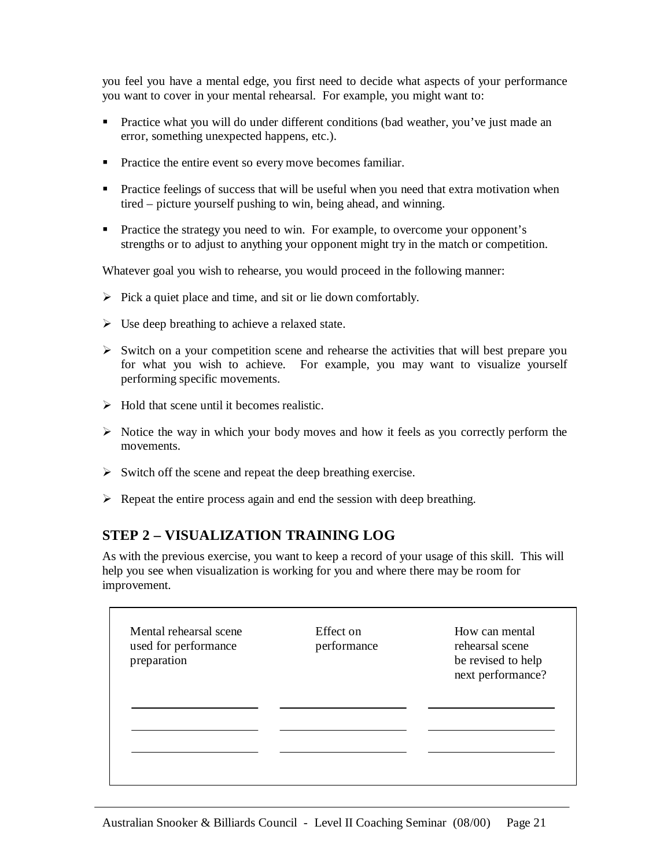you feel you have a mental edge, you first need to decide what aspects of your performance you want to cover in your mental rehearsal. For example, you might want to:

- **Practice what you will do under different conditions (bad weather, you've just made an** error, something unexpected happens, etc.).
- Practice the entire event so every move becomes familiar.
- Practice feelings of success that will be useful when you need that extra motivation when tired – picture yourself pushing to win, being ahead, and winning.
- Practice the strategy you need to win. For example, to overcome your opponent's strengths or to adjust to anything your opponent might try in the match or competition.

Whatever goal you wish to rehearse, you would proceed in the following manner:

- $\triangleright$  Pick a quiet place and time, and sit or lie down comfortably.
- $\triangleright$  Use deep breathing to achieve a relaxed state.
- $\triangleright$  Switch on a your competition scene and rehearse the activities that will best prepare you for what you wish to achieve. For example, you may want to visualize yourself performing specific movements.
- $\triangleright$  Hold that scene until it becomes realistic.
- $\triangleright$  Notice the way in which your body moves and how it feels as you correctly perform the movements.
- $\triangleright$  Switch off the scene and repeat the deep breathing exercise.
- $\triangleright$  Repeat the entire process again and end the session with deep breathing.

## **STEP 2 – VISUALIZATION TRAINING LOG**

As with the previous exercise, you want to keep a record of your usage of this skill. This will help you see when visualization is working for you and where there may be room for improvement.

| Mental rehearsal scene<br>used for performance<br>preparation | Effect on<br>performance | How can mental<br>rehearsal scene<br>be revised to help<br>next performance? |
|---------------------------------------------------------------|--------------------------|------------------------------------------------------------------------------|
|                                                               |                          |                                                                              |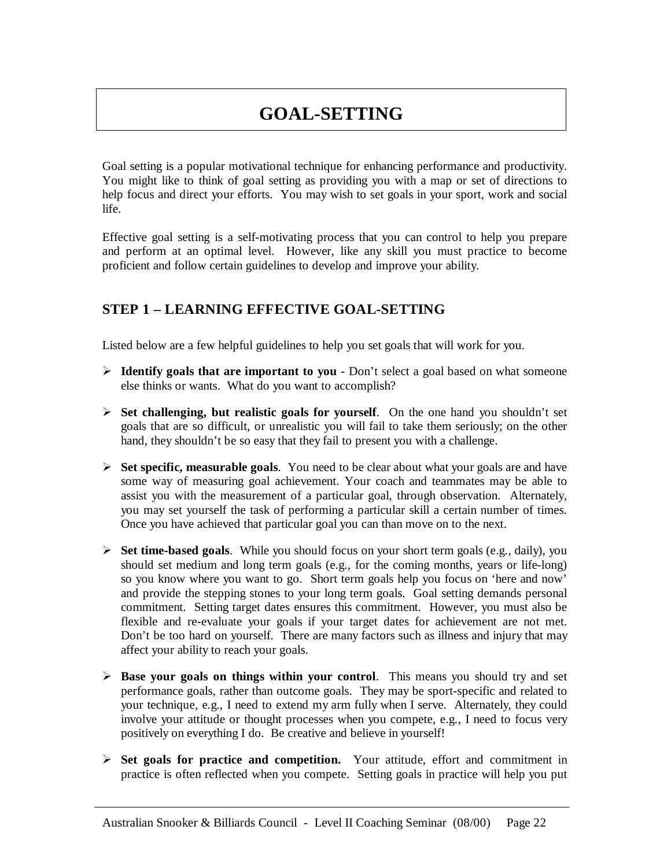# **GOAL-SETTING**

Goal setting is a popular motivational technique for enhancing performance and productivity. You might like to think of goal setting as providing you with a map or set of directions to help focus and direct your efforts. You may wish to set goals in your sport, work and social life.

Effective goal setting is a self-motivating process that you can control to help you prepare and perform at an optimal level. However, like any skill you must practice to become proficient and follow certain guidelines to develop and improve your ability.

## **STEP 1 – LEARNING EFFECTIVE GOAL-SETTING**

Listed below are a few helpful guidelines to help you set goals that will work for you.

- $\triangleright$  **Identify goals that are important to you** Don't select a goal based on what someone else thinks or wants. What do you want to accomplish?
- $\triangleright$  **Set challenging, but realistic goals for yourself.** On the one hand you shouldn't set goals that are so difficult, or unrealistic you will fail to take them seriously; on the other hand, they shouldn't be so easy that they fail to present you with a challenge.
- $\triangleright$  **Set specific, measurable goals**. You need to be clear about what your goals are and have some way of measuring goal achievement. Your coach and teammates may be able to assist you with the measurement of a particular goal, through observation. Alternately, you may set yourself the task of performing a particular skill a certain number of times. Once you have achieved that particular goal you can than move on to the next.
- $\triangleright$  **Set time-based goals**. While you should focus on your short term goals (e.g., daily), you should set medium and long term goals (e.g., for the coming months, years or life-long) so you know where you want to go. Short term goals help you focus on 'here and now' and provide the stepping stones to your long term goals. Goal setting demands personal commitment. Setting target dates ensures this commitment. However, you must also be flexible and re-evaluate your goals if your target dates for achievement are not met. Don't be too hard on yourself. There are many factors such as illness and injury that may affect your ability to reach your goals.
- **Base your goals on things within your control**. This means you should try and set performance goals, rather than outcome goals. They may be sport-specific and related to your technique, e.g., I need to extend my arm fully when I serve. Alternately, they could involve your attitude or thought processes when you compete, e.g., I need to focus very positively on everything I do. Be creative and believe in yourself!
- $\triangleright$  **Set goals for practice and competition.** Your attitude, effort and commitment in practice is often reflected when you compete. Setting goals in practice will help you put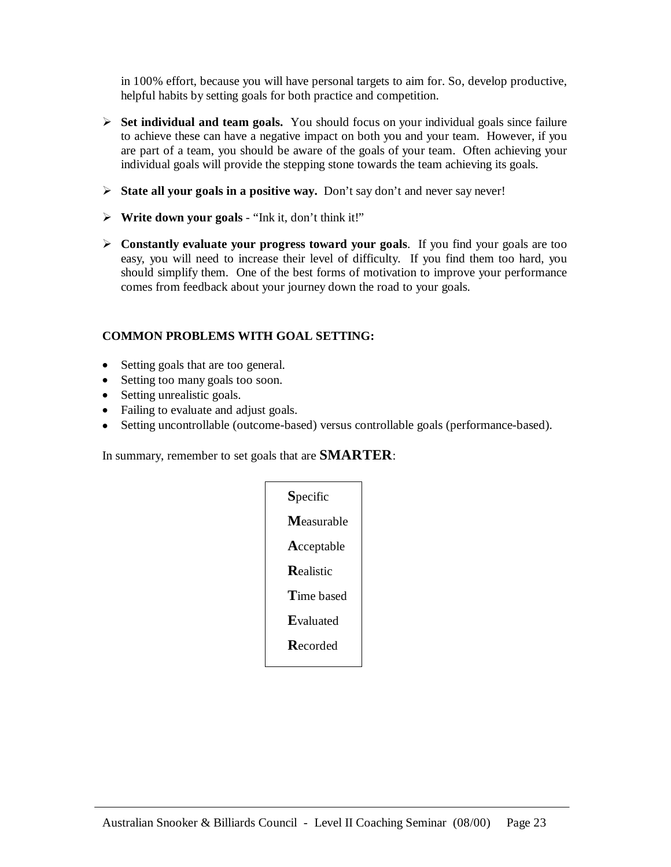in 100% effort, because you will have personal targets to aim for. So, develop productive, helpful habits by setting goals for both practice and competition.

- **Set individual and team goals.** You should focus on your individual goals since failure to achieve these can have a negative impact on both you and your team. However, if you are part of a team, you should be aware of the goals of your team. Often achieving your individual goals will provide the stepping stone towards the team achieving its goals.
- **State all your goals in a positive way.** Don't say don't and never say never!
- **Write down your goals** "Ink it, don't think it!"
- **Constantly evaluate your progress toward your goals**. If you find your goals are too easy, you will need to increase their level of difficulty. If you find them too hard, you should simplify them. One of the best forms of motivation to improve your performance comes from feedback about your journey down the road to your goals.

#### **COMMON PROBLEMS WITH GOAL SETTING:**

- Setting goals that are too general.
- Setting too many goals too soon.
- Setting unrealistic goals.
- Failing to evaluate and adjust goals.
- Setting uncontrollable (outcome-based) versus controllable goals (performance-based).

In summary, remember to set goals that are **SMARTER**:

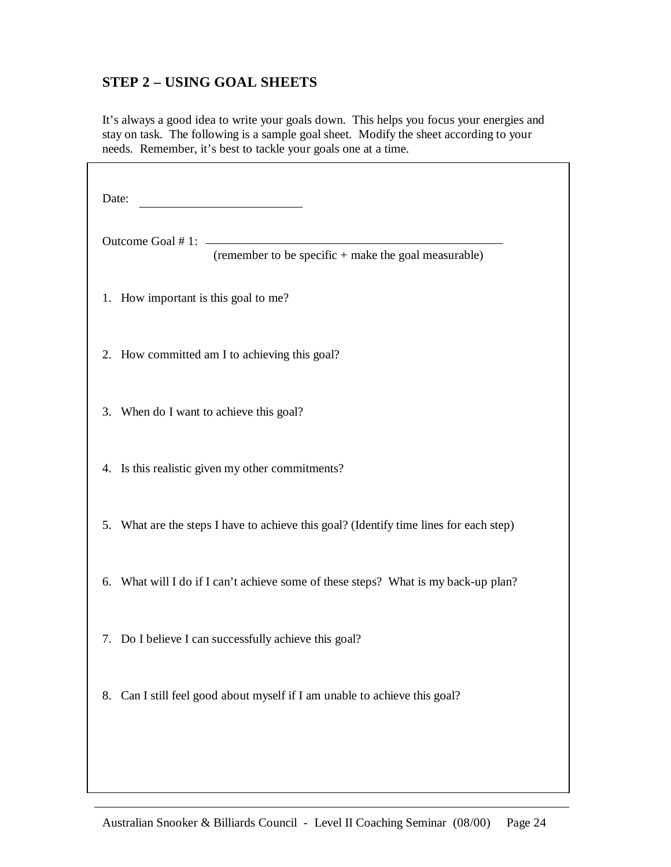## **STEP 2 – USING GOAL SHEETS**

It's always a good idea to write your goals down. This helps you focus your energies and stay on task. The following is a sample goal sheet. Modify the sheet according to your needs. Remember, it's best to tackle your goals one at a time.

|    | Outcome Goal #1: $\frac{1}{2}$<br>(remember to be specific + make the goal measurable) |
|----|----------------------------------------------------------------------------------------|
|    | 1. How important is this goal to me?                                                   |
|    | 2. How committed am I to achieving this goal?                                          |
|    | 3. When do I want to achieve this goal?                                                |
|    | 4. Is this realistic given my other commitments?                                       |
|    | 5. What are the steps I have to achieve this goal? (Identify time lines for each step) |
|    | 6. What will I do if I can't achieve some of these steps? What is my back-up plan?     |
|    | 7. Do I believe I can successfully achieve this goal?                                  |
| 8. | Can I still feel good about myself if I am unable to achieve this goal?                |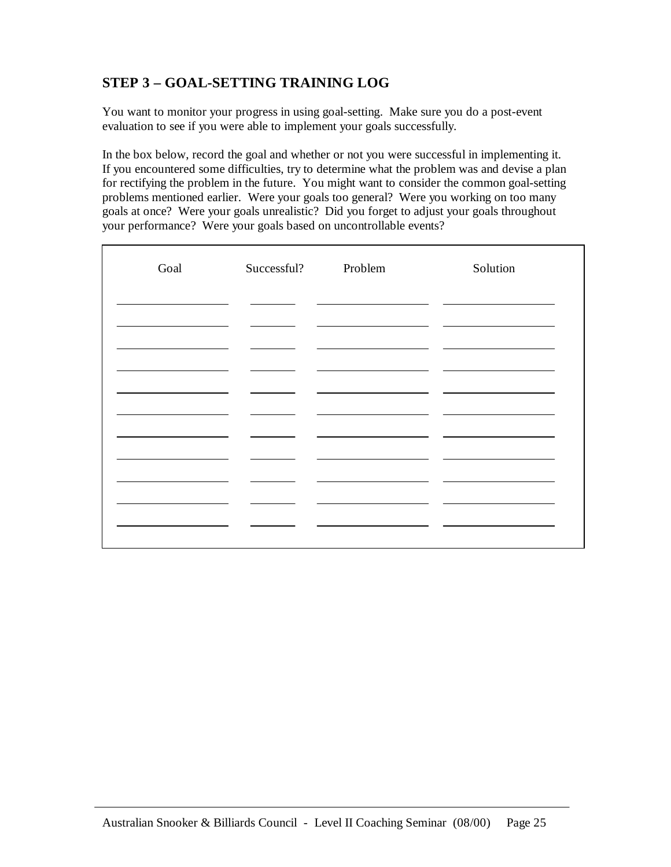## **STEP 3 – GOAL-SETTING TRAINING LOG**

You want to monitor your progress in using goal-setting. Make sure you do a post-event evaluation to see if you were able to implement your goals successfully.

In the box below, record the goal and whether or not you were successful in implementing it. If you encountered some difficulties, try to determine what the problem was and devise a plan for rectifying the problem in the future. You might want to consider the common goal-setting problems mentioned earlier. Were your goals too general? Were you working on too many goals at once? Were your goals unrealistic? Did you forget to adjust your goals throughout your performance? Were your goals based on uncontrollable events?

| Goal | Successful? Problem |                                                                                                                                                                                                                                      | Solution                 |
|------|---------------------|--------------------------------------------------------------------------------------------------------------------------------------------------------------------------------------------------------------------------------------|--------------------------|
|      |                     |                                                                                                                                                                                                                                      |                          |
|      |                     | <u> The Common State Common State Common State Common State Common State Common State Common State Common State Common State Common State Common State Common State Common State Common State Common State Common State Common S</u> | $\overline{\phantom{0}}$ |
|      |                     |                                                                                                                                                                                                                                      |                          |
|      |                     | $\overline{\phantom{0}}$                                                                                                                                                                                                             |                          |
|      |                     |                                                                                                                                                                                                                                      |                          |
|      |                     | —                                                                                                                                                                                                                                    | $\sim$                   |
|      |                     | $\overline{\phantom{0}}$                                                                                                                                                                                                             |                          |
|      |                     |                                                                                                                                                                                                                                      |                          |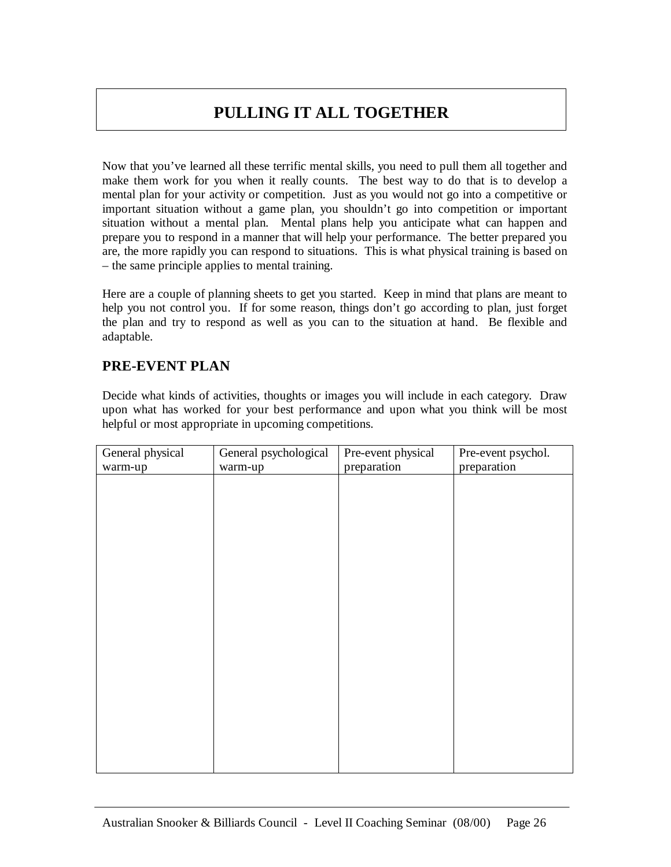# **PULLING IT ALL TOGETHER**

Now that you've learned all these terrific mental skills, you need to pull them all together and make them work for you when it really counts. The best way to do that is to develop a mental plan for your activity or competition. Just as you would not go into a competitive or important situation without a game plan, you shouldn't go into competition or important situation without a mental plan. Mental plans help you anticipate what can happen and prepare you to respond in a manner that will help your performance. The better prepared you are, the more rapidly you can respond to situations. This is what physical training is based on – the same principle applies to mental training.

Here are a couple of planning sheets to get you started. Keep in mind that plans are meant to help you not control you. If for some reason, things don't go according to plan, just forget the plan and try to respond as well as you can to the situation at hand. Be flexible and adaptable.

## **PRE-EVENT PLAN**

Decide what kinds of activities, thoughts or images you will include in each category. Draw upon what has worked for your best performance and upon what you think will be most helpful or most appropriate in upcoming competitions.

| General physical | General psychological<br>warm-up | Pre-event physical<br>preparation | Pre-event psychol.<br>preparation |
|------------------|----------------------------------|-----------------------------------|-----------------------------------|
| warm-up          |                                  |                                   |                                   |
|                  |                                  |                                   |                                   |
|                  |                                  |                                   |                                   |
|                  |                                  |                                   |                                   |
|                  |                                  |                                   |                                   |
|                  |                                  |                                   |                                   |
|                  |                                  |                                   |                                   |
|                  |                                  |                                   |                                   |
|                  |                                  |                                   |                                   |
|                  |                                  |                                   |                                   |
|                  |                                  |                                   |                                   |
|                  |                                  |                                   |                                   |
|                  |                                  |                                   |                                   |
|                  |                                  |                                   |                                   |
|                  |                                  |                                   |                                   |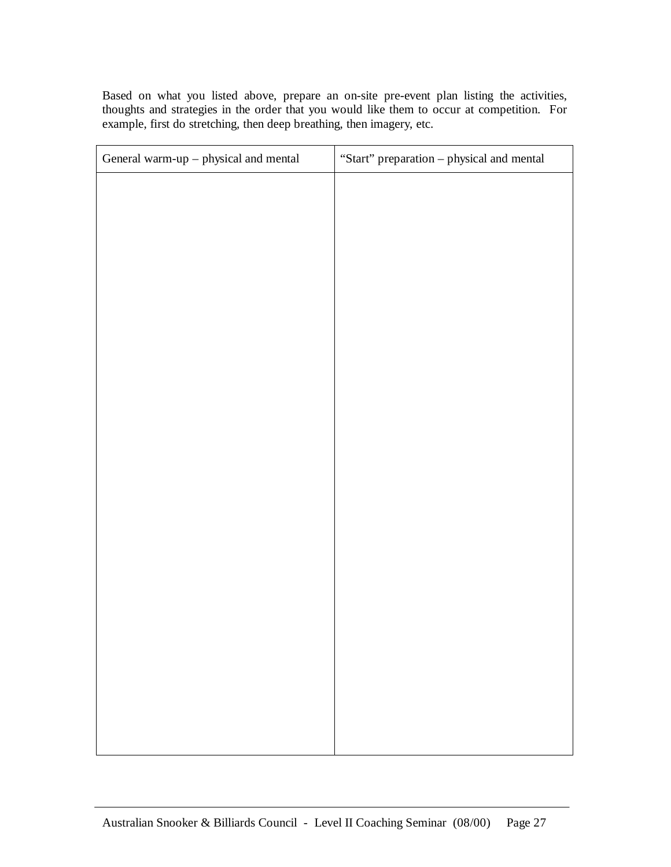Based on what you listed above, prepare an on-site pre-event plan listing the activities, thoughts and strategies in the order that you would like them to occur at competition. For example, first do stretching, then deep breathing, then imagery, etc.

| General warm-up - physical and mental | "Start" preparation - physical and mental |
|---------------------------------------|-------------------------------------------|
|                                       |                                           |
|                                       |                                           |
|                                       |                                           |
|                                       |                                           |
|                                       |                                           |
|                                       |                                           |
|                                       |                                           |
|                                       |                                           |
|                                       |                                           |
|                                       |                                           |
|                                       |                                           |
|                                       |                                           |
|                                       |                                           |
|                                       |                                           |
|                                       |                                           |
|                                       |                                           |
|                                       |                                           |
|                                       |                                           |
|                                       |                                           |
|                                       |                                           |
|                                       |                                           |
|                                       |                                           |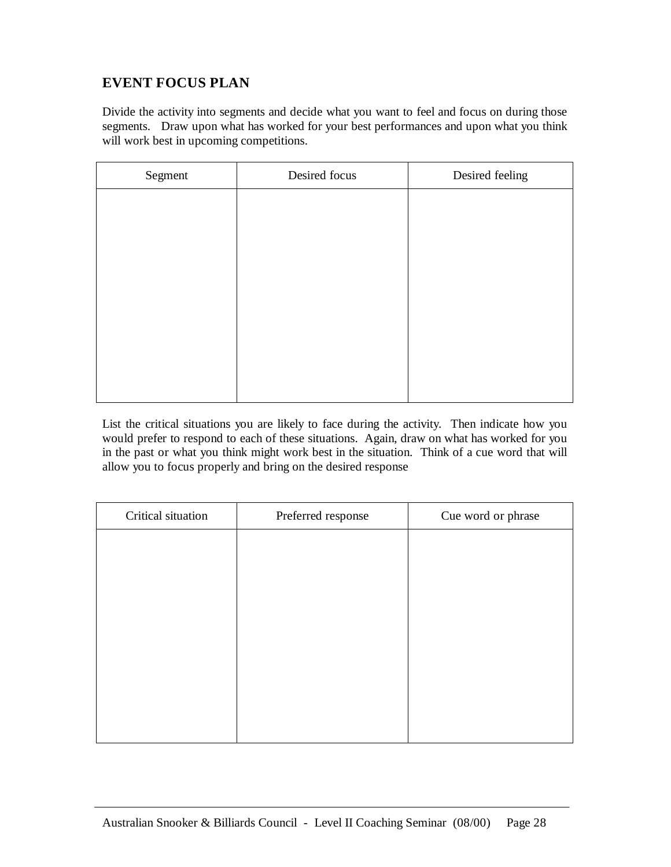## **EVENT FOCUS PLAN**

Divide the activity into segments and decide what you want to feel and focus on during those segments. Draw upon what has worked for your best performances and upon what you think will work best in upcoming competitions.

| Segment | Desired focus | Desired feeling |
|---------|---------------|-----------------|
|         |               |                 |
|         |               |                 |
|         |               |                 |
|         |               |                 |
|         |               |                 |
|         |               |                 |
|         |               |                 |
|         |               |                 |

List the critical situations you are likely to face during the activity. Then indicate how you would prefer to respond to each of these situations. Again, draw on what has worked for you in the past or what you think might work best in the situation. Think of a cue word that will allow you to focus properly and bring on the desired response

| Critical situation | Preferred response | Cue word or phrase |  |  |  |  |  |
|--------------------|--------------------|--------------------|--|--|--|--|--|
|                    |                    |                    |  |  |  |  |  |
|                    |                    |                    |  |  |  |  |  |
|                    |                    |                    |  |  |  |  |  |
|                    |                    |                    |  |  |  |  |  |
|                    |                    |                    |  |  |  |  |  |
|                    |                    |                    |  |  |  |  |  |
|                    |                    |                    |  |  |  |  |  |
|                    |                    |                    |  |  |  |  |  |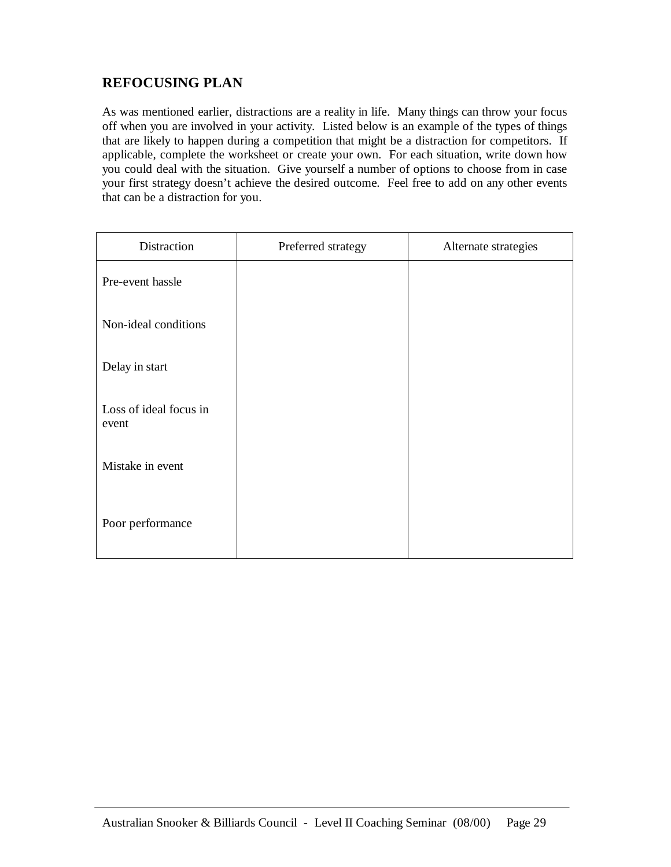## **REFOCUSING PLAN**

As was mentioned earlier, distractions are a reality in life. Many things can throw your focus off when you are involved in your activity. Listed below is an example of the types of things that are likely to happen during a competition that might be a distraction for competitors. If applicable, complete the worksheet or create your own. For each situation, write down how you could deal with the situation. Give yourself a number of options to choose from in case your first strategy doesn't achieve the desired outcome. Feel free to add on any other events that can be a distraction for you.

| Distraction                     | Preferred strategy | Alternate strategies |
|---------------------------------|--------------------|----------------------|
| Pre-event hassle                |                    |                      |
| Non-ideal conditions            |                    |                      |
| Delay in start                  |                    |                      |
| Loss of ideal focus in<br>event |                    |                      |
| Mistake in event                |                    |                      |
| Poor performance                |                    |                      |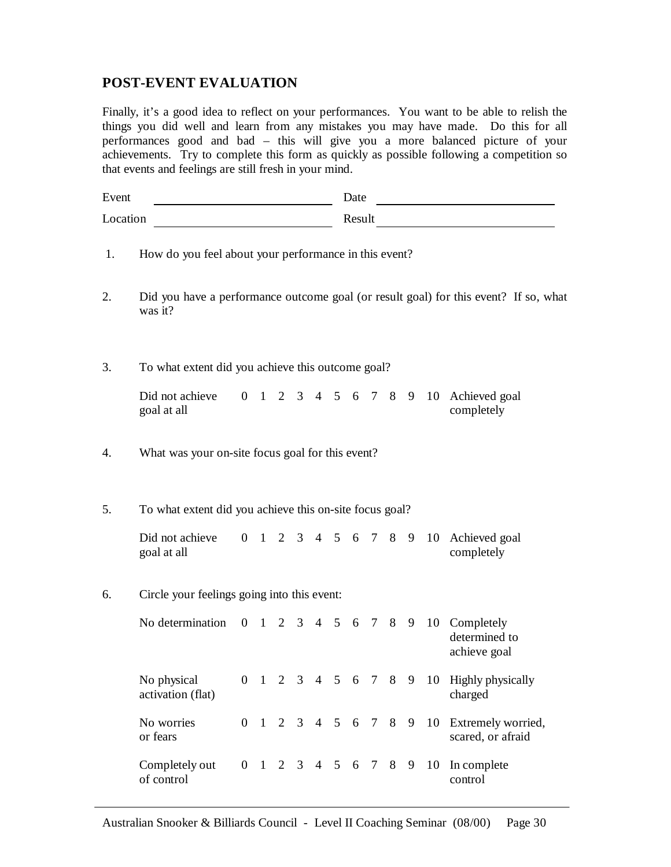## **POST-EVENT EVALUATION**

Finally, it's a good idea to reflect on your performances. You want to be able to relish the things you did well and learn from any mistakes you may have made. Do this for all performances good and bad – this will give you a more balanced picture of your achievements. Try to complete this form as quickly as possible following a competition so that events and feelings are still fresh in your mind.

| Event    |                                                                          |  |  |                       |  | Date<br><u> 1989 - Johann Barn, mars eta bainar eta industrial eta industrial eta industrial eta industrial eta industria</u><br>Result |  |  |  |  |  |    |                                                                                      |
|----------|--------------------------------------------------------------------------|--|--|-----------------------|--|-----------------------------------------------------------------------------------------------------------------------------------------|--|--|--|--|--|----|--------------------------------------------------------------------------------------|
| Location |                                                                          |  |  |                       |  |                                                                                                                                         |  |  |  |  |  |    |                                                                                      |
| 1.       | How do you feel about your performance in this event?                    |  |  |                       |  |                                                                                                                                         |  |  |  |  |  |    |                                                                                      |
| 2.       | was it?                                                                  |  |  |                       |  |                                                                                                                                         |  |  |  |  |  |    | Did you have a performance outcome goal (or result goal) for this event? If so, what |
| 3.       | To what extent did you achieve this outcome goal?                        |  |  |                       |  |                                                                                                                                         |  |  |  |  |  |    |                                                                                      |
|          | Did not achieve 0 1 2 3 4 5 6 7 8 9 10 Achieved goal<br>goal at all      |  |  |                       |  |                                                                                                                                         |  |  |  |  |  |    | completely                                                                           |
| 4.       | What was your on-site focus goal for this event?                         |  |  |                       |  |                                                                                                                                         |  |  |  |  |  |    |                                                                                      |
| 5.       | To what extent did you achieve this on-site focus goal?                  |  |  |                       |  |                                                                                                                                         |  |  |  |  |  |    |                                                                                      |
|          | Did not achieve<br>goal at all                                           |  |  |                       |  |                                                                                                                                         |  |  |  |  |  |    | 0 1 2 3 4 5 6 7 8 9 10 Achieved goal<br>completely                                   |
| 6.       | Circle your feelings going into this event:                              |  |  |                       |  |                                                                                                                                         |  |  |  |  |  |    |                                                                                      |
|          | No determination $0 \t1 \t2 \t3 \t4 \t5 \t6 \t7 \t8 \t9 \t10$ Completely |  |  |                       |  |                                                                                                                                         |  |  |  |  |  |    | determined to<br>achieve goal                                                        |
|          | No physical<br>activation (flat)                                         |  |  | $0$ 1 2 3 4 5 6 7 8 9 |  |                                                                                                                                         |  |  |  |  |  |    | 10 Highly physically<br>charged                                                      |
|          | No worries<br>or fears                                                   |  |  | 0 1 2 3 4 5 6 7 8 9   |  |                                                                                                                                         |  |  |  |  |  | 10 | Extremely worried,<br>scared, or afraid                                              |
|          | Completely out<br>of control                                             |  |  | 0 1 2 3 4 5 6 7 8 9   |  |                                                                                                                                         |  |  |  |  |  | 10 | In complete<br>control                                                               |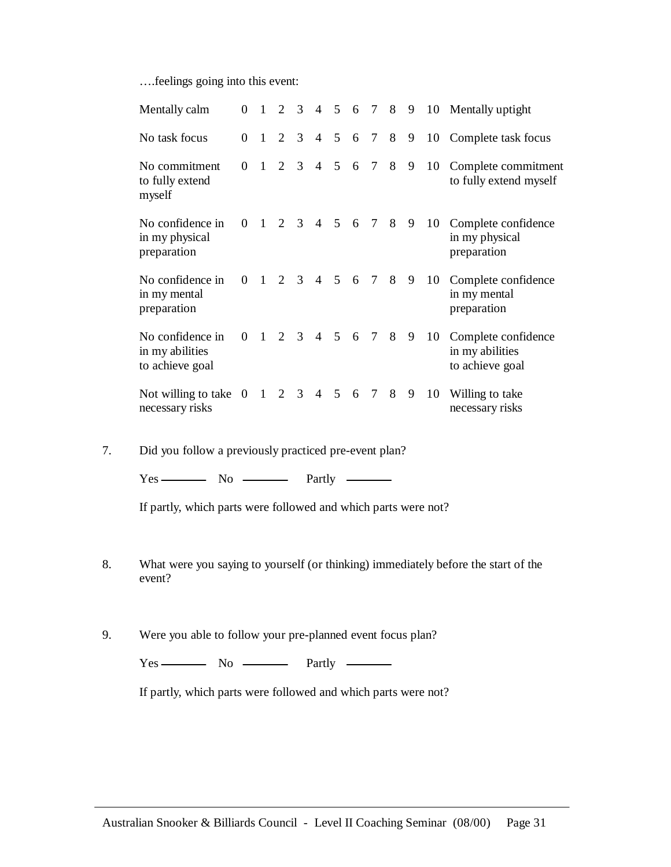….feelings going into this event:

| Mentally calm                                          | $\Omega$ |                | $1\quad 2\quad 3$ | $4\quad 5$                  |                   | $6\overline{6}$ | $7\overline{ }$ | 8 | 9   | 10 | Mentally uptight                                          |
|--------------------------------------------------------|----------|----------------|-------------------|-----------------------------|-------------------|-----------------|-----------------|---|-----|----|-----------------------------------------------------------|
| No task focus                                          | $\theta$ |                | $1\quad 2\quad 3$ | $\overline{4}$              | 5                 | 6               | 7 8             |   | 9   | 10 | Complete task focus                                       |
| No commitment<br>to fully extend<br>myself             | $\Omega$ |                | $1\quad 2\quad 3$ | $\overline{4}$              | $5\overline{)}$   | 6               | 7 8 9           |   |     | 10 | Complete commitment<br>to fully extend myself             |
| No confidence in<br>in my physical<br>preparation      | $\Omega$ |                |                   | 1 2 3 4 5 6 7 8             |                   |                 |                 |   | - 9 | 10 | Complete confidence<br>in my physical<br>preparation      |
| No confidence in<br>in my mental<br>preparation        |          |                |                   | $0 \t1 \t2 \t3 \t4 \t5 \t6$ |                   |                 | $7\overline{ }$ | 8 | 9   | 10 | Complete confidence<br>in my mental<br>preparation        |
| No confidence in<br>in my abilities<br>to achieve goal | $\Omega$ | $\overline{1}$ |                   | $2 \t3 \t4 \t5 \t6$         |                   |                 | $7\overline{ }$ | 8 | 9   | 10 | Complete confidence<br>in my abilities<br>to achieve goal |
| Not willing to take $0$<br>necessary risks             |          | $\overline{1}$ | 2 3               |                             | $4\quad 5\quad 6$ |                 | $7\overline{ }$ | 8 | 9   | 10 | Willing to take<br>necessary risks                        |

7. Did you follow a previously practiced pre-event plan?

 $Yes$  No

If partly, which parts were followed and which parts were not?

- 8. What were you saying to yourself (or thinking) immediately before the start of the event?
- 9. Were you able to follow your pre-planned event focus plan?

 $Yes \longrightarrow No \longrightarrow Partly \longrightarrow$ 

If partly, which parts were followed and which parts were not?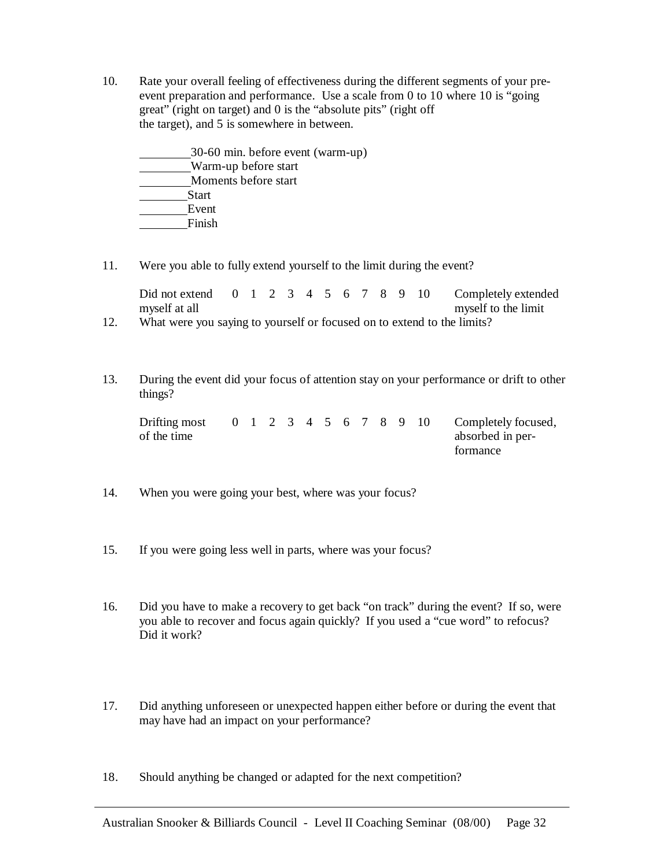10. Rate your overall feeling of effectiveness during the different segments of your preevent preparation and performance. Use a scale from 0 to 10 where 10 is "going great" (right on target) and 0 is the "absolute pits" (right off the target), and 5 is somewhere in between.

 30-60 min. before event (warm-up) Warm-up before start Moments before start **Start**  Event Finish

11. Were you able to fully extend yourself to the limit during the event?

Did not extend 0 1 2 3 4 5 6 7 8 9 10 Completely extended myself at all myself to the limit

- 12. What were you saying to yourself or focused on to extend to the limits?
- 13. During the event did your focus of attention stay on your performance or drift to other things?

Drifting most 0 1 2 3 4 5 6 7 8 9 10 Completely focused, of the time absorbed in per formance

14. When you were going your best, where was your focus?

- 15. If you were going less well in parts, where was your focus?
- 16. Did you have to make a recovery to get back "on track" during the event? If so, were you able to recover and focus again quickly? If you used a "cue word" to refocus? Did it work?
- 17. Did anything unforeseen or unexpected happen either before or during the event that may have had an impact on your performance?

18. Should anything be changed or adapted for the next competition?